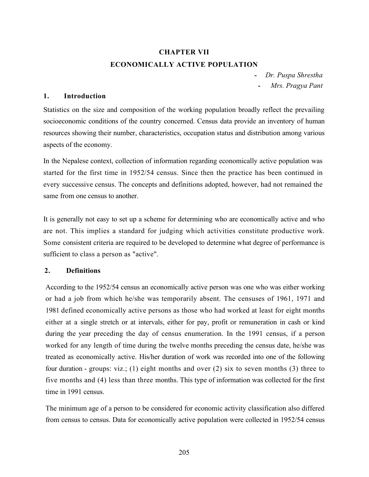# CHAPTER VII ECONOMICALLY ACTIVE POPULATION

- Dr. Puspa Shrestha Mrs. Pragya Pant

# 1. Introduction

Statistics on the size and composition of the working population broadly reflect the prevailing socioeconomic conditions of the country concerned. Census data provide an inventory of human resources showing their number, characteristics, occupation status and distribution among various aspects of the economy.

In the Nepalese context, collection of information regarding economically active population was started for the first time in 1952/54 census. Since then the practice has been continued in every successive census. The concepts and definitions adopted, however, had not remained the same from one census to another.

It is generally not easy to set up a scheme for determining who are economically active and who are not. This implies a standard for judging which activities constitute productive work. Some consistent criteria are required to be developed to determine what degree of performance is sufficient to class a person as "active".

### 2. Definitions

According to the 1952/54 census an economically active person was one who was either working or had a job from which he/she was temporarily absent. The censuses of 1961, 1971 and 1981 defined economically active persons as those who had worked at least for eight months either at a single stretch or at intervals, either for pay, profit or remuneration in cash or kind during the year preceding the day of census enumeration. In the 1991 census, if a person worked for any length of time during the twelve months preceding the census date, he/she was treated as economically active. His/her duration of work was recorded into one of the following four duration - groups: viz.; (1) eight months and over (2) six to seven months (3) three to five months and (4) less than three months. This type of information was collected for the first time in 1991 census.

The minimum age of a person to be considered for economic activity classification also differed from census to census. Data for economically active population were collected in 1952/54 census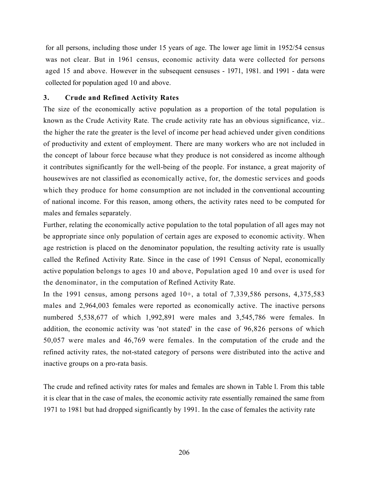for all persons, including those under 15 years of age. The lower age limit in 1952/54 census was not clear. But in 1961 census, economic activity data were collected for persons aged 15 and above. However in the subsequent censuses - 1971, 1981. and 1991 - data were collected for population aged 10 and above.

# 3. Crude and Refined Activity Rates

The size of the economically active population as a proportion of the total population is known as the Crude Activity Rate. The crude activity rate has an obvious significance, viz.. the higher the rate the greater is the level of income per head achieved under given conditions of productivity and extent of employment. There are many workers who are not included in the concept of labour force because what they produce is not considered as income although it contributes significantly for the well-being of the people. For instance, a great majority of housewives are not classified as economically active, for, the domestic services and goods which they produce for home consumption are not included in the conventional accounting of national income. For this reason, among others, the activity rates need to be computed for males and females separately.

Further, relating the economically active population to the total population of all ages may not be appropriate since only population of certain ages are exposed to economic activity. When age restriction is placed on the denominator population, the resulting activity rate is usually called the Refined Activity Rate. Since in the case of 1991 Census of Nepal, economically active population belongs to ages 10 and above, Population aged 10 and over is used for the denominator, in the computation of Refined Activity Rate.

In the 1991 census, among persons aged  $10<sup>+</sup>$ , a total of 7,339,586 persons, 4,375,583 males and 2,964,003 females were reported as economically active. The inactive persons numbered 5,538,677 of which 1,992,891 were males and 3,545,786 were females. In addition, the economic activity was 'not stated' in the case of 96,826 persons of which 50,057 were males and 46,769 were females. In the computation of the crude and the refined activity rates, the not-stated category of persons were distributed into the active and inactive groups on a pro-rata basis.

The crude and refined activity rates for males and females are shown in Table l. From this table it is clear that in the case of males, the economic activity rate essentially remained the same from 1971 to 1981 but had dropped significantly by 1991. In the case of females the activity rate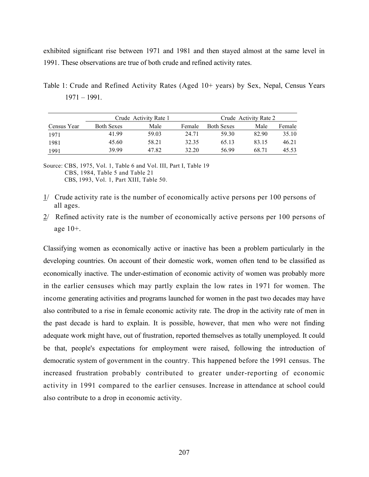exhibited significant rise between 1971 and 1981 and then stayed almost at the same level in 1991. These observations are true of both crude and refined activity rates.

Table 1: Crude and Refined Activity Rates (Aged 10+ years) by Sex, Nepal, Census Years 1971 – 1991.

|             |                   | Crude Activity Rate 1 | Crude Activity Rate 2 |                   |       |        |  |
|-------------|-------------------|-----------------------|-----------------------|-------------------|-------|--------|--|
| Census Year | <b>Both Sexes</b> | Male                  | Female                | <b>Both Sexes</b> | Male  | Female |  |
| 1971        | 41.99             | 59.03                 | 24.71                 | 59.30             | 82.90 | 35.10  |  |
| 1981        | 45.60             | 58.21                 | 32.35                 | 65.13             | 83.15 | 46.21  |  |
| 1991        | 39.99             | 47.82                 | 32.20                 | 56.99             | 68.71 | 45.53  |  |

Source: CBS, 1975, Vol. 1, Table 6 and Vol. III, Part I, Table 19 CBS, 1984, Table 5 and Table 21 CBS, 1993, Vol. 1, Part XIII, Table 50.

- $1/$  Crude activity rate is the number of economically active persons per 100 persons of all ages.
- $2/$  Refined activity rate is the number of economically active persons per 100 persons of age 10+.

Classifying women as economically active or inactive has been a problem particularly in the developing countries. On account of their domestic work, women often tend to be classified as economically inactive. The under-estimation of economic activity of women was probably more in the earlier censuses which may partly explain the low rates in 1971 for women. The income generating activities and programs launched for women in the past two decades may have also contributed to a rise in female economic activity rate. The drop in the activity rate of men in the past decade is hard to explain. It is possible, however, that men who were not finding adequate work might have, out of frustration, reported themselves as totally unemployed. It could be that, people's expectations for employment were raised, following the introduction of democratic system of government in the country. This happened before the 1991 census. The increased frustration probably contributed to greater under-reporting of economic activity in 1991 compared to the earlier censuses. Increase in attendance at school could also contribute to a drop in economic activity.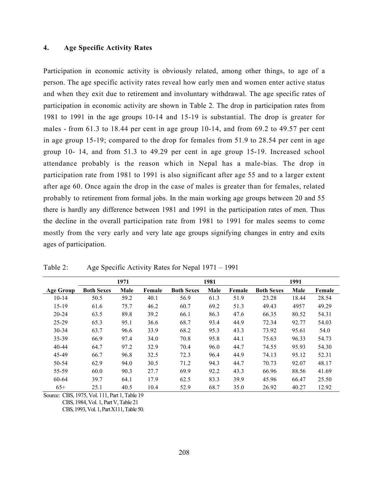### 4. Age Specific Activity Rates

Participation in economic activity is obviously related, among other things, to age of a person. The age specific activity rates reveal how early men and women enter active status and when they exit due to retirement and involuntary withdrawal. The age specific rates of participation in economic activity are shown in Table 2. The drop in participation rates from 1981 to 1991 in the age groups 10-14 and 15-19 is substantial. The drop is greater for males - from 61.3 to 18.44 per cent in age group 10-14, and from 69.2 to 49.57 per cent in age group 15-19; compared to the drop for females from 51.9 to 28.54 per cent in age group 10- 14, and from 51.3 to 49.29 per cent in age group 15-19. Increased school attendance probably is the reason which in Nepal has a male-bias. The drop in participation rate from 1981 to 1991 is also significant after age 55 and to a larger extent after age 60. Once again the drop in the case of males is greater than for females, related probably to retirement from formal jobs. In the main working age groups between 20 and 55 there is hardly any difference between 1981 and 1991 in the participation rates of men. Thus the decline in the overall participation rate from 1981 to 1991 for males seems to come mostly from the very early and very late age groups signifying changes in entry and exits ages of participation.

|                  |                   | 1971 |        |                   | 1981 |        |                   | 1991  |        |
|------------------|-------------------|------|--------|-------------------|------|--------|-------------------|-------|--------|
| <b>Age Group</b> | <b>Both Sexes</b> | Male | Female | <b>Both Sexes</b> | Male | Female | <b>Both Sexes</b> | Male  | Female |
| $10 - 14$        | 50.5              | 59.2 | 40.1   | 56.9              | 61.3 | 51.9   | 23.28             | 18.44 | 28.54  |
| $15-19$          | 61.6              | 75.7 | 46.2   | 60.7              | 69.2 | 51.3   | 49.43             | 4957  | 49.29  |
| $20 - 24$        | 63.5              | 89.8 | 39.2   | 66.1              | 86.3 | 47.6   | 66.35             | 80.52 | 54.31  |
| $25 - 29$        | 65.3              | 95.1 | 36.6   | 68.7              | 93.4 | 44.9   | 72.34             | 92.77 | 54.03  |
| $30 - 34$        | 63.7              | 96.6 | 33.9   | 68.2              | 95.3 | 43.3   | 73.92             | 95.61 | 54.0   |
| 35-39            | 66.9              | 97.4 | 34.0   | 70.8              | 95.8 | 44.1   | 75.63             | 96.33 | 54.73  |
| $40 - 44$        | 64.7              | 97.2 | 32.9   | 70.4              | 96.0 | 44.7   | 74.55             | 95.93 | 54.30  |
| 45-49            | 66.7              | 96.8 | 32.5   | 72.3              | 96.4 | 44.9   | 74.13             | 95.12 | 52.31  |
| 50-54            | 62.9              | 94.0 | 30.5   | 71.2              | 94.3 | 44.7   | 70.73             | 92.07 | 48.17  |
| 55-59            | 60.0              | 90.3 | 27.7   | 69.9              | 92.2 | 43.3   | 66.96             | 88.56 | 41.69  |
| 60-64            | 39.7              | 64.1 | 17.9   | 62.5              | 83.3 | 39.9   | 45.96             | 66.47 | 25.50  |
| $65+$            | 25.1              | 40.5 | 10.4   | 52.9              | 68.7 | 35.0   | 26.92             | 40.27 | 12.92  |

Table 2: Age Specific Activity Rates for Nepal 1971 – 1991

Source: CBS, 1975, Vol. 111, Part 1, Table 19

CBS, 1984, Vol. 1, Part V, Table 21

CBS, 1993, Vol. 1, Part X111, Table 50.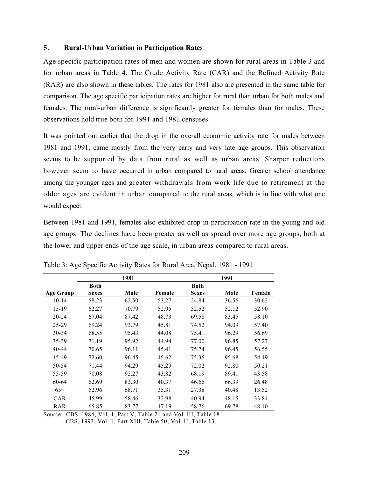### 5. Rural-Urban Variation in Participation Rates

Age specific participation rates of men and women are shown for rural areas in Table 3 and for urban areas in Table 4. The Crude Activity Rate (CAR) and the Refined Activity Rate (RAR) are also shown in these tables. The rates for 1981 also are presented in the same table for comparison. The age specific participation rates are higher for rural than urban for both males and females. The rural-urban difference is significantly greater for females than for males. These observations hold true both for 1991 and 1981 censuses.

It was pointed out earlier that the drop in the overall economic activity rate for males between 1981 and 1991, came mostly from the very early and very late age groups. This observation seems to be supported by data from rural as well as urban areas. Sharper reductions however seem to have occurred in urban compared to rural areas. Greater school attendance among the younger ages and greater withdrawals from work life due to retirement at the older ages are evident in urban compared to the rural areas, which is in line with what one would expect.

Between 1981 and 1991, females also exhibited drop in participation rate in the young and old age groups. The declines have been greater as well as spread over more age groups, both at the lower and upper ends of the age scale, in urban areas compared to rural areas.

|            |              | 1981  |        |              | 1991  |        |
|------------|--------------|-------|--------|--------------|-------|--------|
|            | Both         |       |        | <b>Both</b>  |       |        |
| Age Group  | <b>Sexes</b> | Male  | Female | <b>Sexes</b> | Male  | Female |
| $10-14$    | 58.23        | 62.50 | 53.27  | 24.84        | 36.56 | 30.62  |
| 15-19      | 62.27        | 70.79 | 52.95  | 52.52        | 52.12 | 52.90  |
| $20 - 24$  | 67.04        | 87.42 | 48.73  | 69.58        | 83.45 | 58.10  |
| $25 - 29$  | 69.24        | 93.79 | 45.81  | 74.52        | 94.09 | 57.40  |
| 30-34      | 68.55        | 95.43 | 44.08  | 75.41        | 96.29 | 56.69  |
| 35-39      | 71.19        | 95.92 | 44.94  | 77.00        | 96.85 | 57.27  |
| 40-44      | 70.65        | 96.11 | 45.41  | 75.74        | 96.45 | 56.55  |
| 45-49      | 72.60        | 96.45 | 45.62  | 75.35        | 95.68 | 54.49  |
| 50-54      | 71.44        | 94.29 | 45.29  | 72.02        | 92.80 | 50.21  |
| 55-59      | 70.08        | 92.27 | 43.82  | 68.19        | 89.41 | 43.58  |
| 60-64      | 62.69        | 83.30 | 40.37  | 46.66        | 66.39 | 26.48  |
| $65+$      | 52.96        | 68.71 | 35.31  | 27.38        | 40.48 | 13.52  |
| <b>CAR</b> | 45.99        | 58.46 | 32.98  | 40.94        | 48.15 | 33.84  |
| RAR        | 65.85        | 83.77 | 47.19  | 58.76        | 69.78 | 48.10  |

Table 3: Age Specific Activity Rates for Rural Area, Nepal, 1981 - 1991

Source: CBS, 1984, Vol. 1, Part V, Table 21 and Vol. III, Table 18 CBS, 1993, Vol. 1, Part XIII, Table 50; Vol. II, Table 13.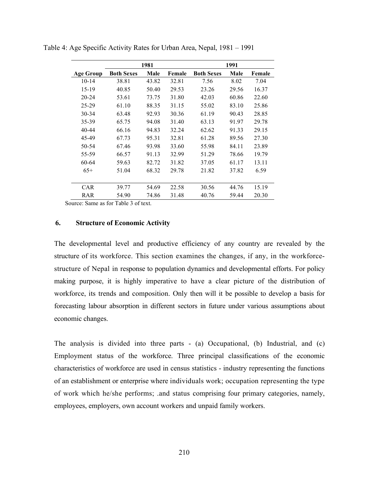|                  |                   | 1981  |        |                   | 1991  |        |
|------------------|-------------------|-------|--------|-------------------|-------|--------|
| <b>Age Group</b> | <b>Both Sexes</b> | Male  | Female | <b>Both Sexes</b> | Male  | Female |
| $10-14$          | 38.81             | 43.82 | 32.81  | 7.56              | 8.02  | 7.04   |
| 15-19            | 40.85             | 50.40 | 29.53  | 23.26             | 29.56 | 16.37  |
| $20 - 24$        | 53.61             | 73.75 | 31.80  | 42.03             | 60.86 | 22.60  |
| $25 - 29$        | 61.10             | 88.35 | 31.15  | 55.02             | 83.10 | 25.86  |
| $30 - 34$        | 63.48             | 92.93 | 30.36  | 61.19             | 90.43 | 28.85  |
| 35-39            | 65.75             | 94.08 | 31.40  | 63.13             | 91.97 | 29.78  |
| $40 - 44$        | 66.16             | 94.83 | 32.24  | 62.62             | 91.33 | 29.15  |
| 45-49            | 67.73             | 95.31 | 32.81  | 61.28             | 89.56 | 27.30  |
| 50-54            | 67.46             | 93.98 | 33.60  | 55.98             | 84.11 | 23.89  |
| 55-59            | 66.57             | 91.13 | 32.99  | 51.29             | 78.66 | 19.79  |
| 60-64            | 59.63             | 82.72 | 31.82  | 37.05             | 61.17 | 13.11  |
| $65+$            | 51.04             | 68.32 | 29.78  | 21.82             | 37.82 | 6.59   |
|                  |                   |       |        |                   |       |        |
| <b>CAR</b>       | 39.77             | 54.69 | 22.58  | 30.56             | 44.76 | 15.19  |
| RAR              | 54.90             | 74.86 | 31.48  | 40.76             | 59.44 | 20.30  |

Table 4: Age Specific Activity Rates for Urban Area, Nepal, 1981 – 1991

Source: Same as for Table 3 of text.

# 6. Structure of Economic Activity

The developmental level and productive efficiency of any country are revealed by the structure of its workforce. This section examines the changes, if any, in the workforcestructure of Nepal in response to population dynamics and developmental efforts. For policy making purpose, it is highly imperative to have a clear picture of the distribution of workforce, its trends and composition. Only then will it be possible to develop a basis for forecasting labour absorption in different sectors in future under various assumptions about economic changes.

The analysis is divided into three parts - (a) Occupational, (b) Industrial, and (c) Employment status of the workforce. Three principal classifications of the economic characteristics of workforce are used in census statistics - industry representing the functions of an establishment or enterprise where individuals work; occupation representing the type of work which he/she performs; .and status comprising four primary categories, namely, employees, employers, own account workers and unpaid family workers.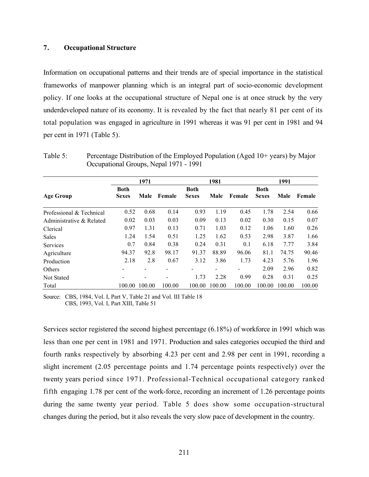# 7. Occupational Structure

Information on occupational patterns and their trends are of special importance in the statistical frameworks of manpower planning which is an integral part of socio-economic development policy. If one looks at the occupational structure of Nepal one is at once struck by the very underdeveloped nature of its economy. It is revealed by the fact that nearly 81 per cent of its total population was engaged in agriculture in 1991 whereas it was 91 per cent in 1981 and 94 per cent in 1971 (Table 5).

|                          |                             | 1971   |        |                             | 1981   |        |                             | 1991   |        |
|--------------------------|-----------------------------|--------|--------|-----------------------------|--------|--------|-----------------------------|--------|--------|
| <b>Age Group</b>         | <b>Both</b><br><b>Sexes</b> | Male   | Female | <b>Both</b><br><b>Sexes</b> | Male   | Female | <b>Both</b><br><b>Sexes</b> | Male   | Female |
| Professional & Technical | 0.52                        | 0.68   | 0.14   | 0.93                        | 1.19   | 0.45   | 1.78                        | 2.54   | 0.66   |
| Administrative & Related | 0.02                        | 0.03   | 0.03   | 0.09                        | 0.13   | 0.02   | 0.30                        | 0.15   | 0.07   |
| Clerical                 | 0.97                        | 1.31   | 0.13   | 0.71                        | 1.03   | 0.12   | 1.06                        | 1.60   | 0.26   |
| <b>Sales</b>             | 1.24                        | 1.54   | 0.51   | 1.25                        | 1.62   | 0.53   | 2.98                        | 3.87   | 1.66   |
| <b>Services</b>          | 0.7                         | 0.84   | 0.38   | 0.24                        | 0.31   | 0.1    | 6.18                        | 7.77   | 3.84   |
| Agriculture              | 94.37                       | 92.8   | 98.17  | 91.37                       | 88.89  | 96.06  | 81.1                        | 74.75  | 90.46  |
| Production               | 2.18                        | 2.8    | 0.67   | 3.12                        | 3.86   | 1.73   | 4.23                        | 5.76   | 1.96   |
| Others                   |                             |        |        | -                           |        |        | 2.09                        | 2.96   | 0.82   |
| Not Stated               |                             |        |        | 1.73                        | 2.28   | 0.99   | 0.28                        | 0.31   | 0.25   |
| Total                    | 100.00                      | 100.00 | 100.00 | 100.00                      | 100.00 | 100.00 | 100.00                      | 100.00 | 100.00 |

Table 5: Percentage Distribution of the Employed Population (Aged 10+ years) by Major Occupational Groups, Nepal 1971 - 1991

Source: CBS, 1984, Vol. I, Part V, Table 21 and Vol. III Table 18 CBS, 1993, Vol. I, Part XIII, Table 51

Services sector registered the second highest percentage (6.18%) of workforce in 1991 which was less than one per cent in 1981 and 1971. Production and sales categories occupied the third and fourth ranks respectively by absorbing 4.23 per cent and 2.98 per cent in 1991, recording a slight increment (2.05 percentage points and 1.74 percentage points respectively) over the twenty years period since 1971. Professional-Technical occupational category ranked fifth engaging 1.78 per cent of the work-force, recording an increment of 1.26 percentage points during the same twenty year period. Table 5 does show some occupation-structural changes during the period, but it also reveals the very slow pace of development in the country.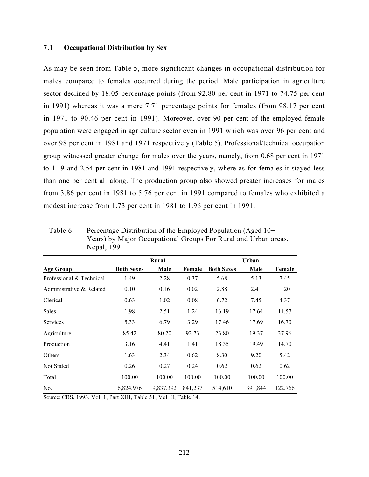# 7.1 Occupational Distribution by Sex

As may be seen from Table 5, more significant changes in occupational distribution for males compared to females occurred during the period. Male participation in agriculture sector declined by 18.05 percentage points (from 92.80 per cent in 1971 to 74.75 per cent in 1991) whereas it was a mere 7.71 percentage points for females (from 98.17 per cent in 1971 to 90.46 per cent in 1991). Moreover, over 90 per cent of the employed female population were engaged in agriculture sector even in 1991 which was over 96 per cent and over 98 per cent in 1981 and 1971 respectively (Table 5). Professional/technical occupation group witnessed greater change for males over the years, namely, from 0.68 per cent in 1971 to 1.19 and 2.54 per cent in 1981 and 1991 respectively, where as for females it stayed less than one per cent all along. The production group also showed greater increases for males from 3.86 per cent in 1981 to 5.76 per cent in 1991 compared to females who exhibited a modest increase from 1.73 per cent in 1981 to 1.96 per cent in 1991.

|                          |                   | Rural     |         |                   | Urban   |         |
|--------------------------|-------------------|-----------|---------|-------------------|---------|---------|
| <b>Age Group</b>         | <b>Both Sexes</b> | Male      | Female  | <b>Both Sexes</b> | Male    | Female  |
| Professional & Technical | 1.49              | 2.28      | 0.37    | 5.68              | 5.13    | 7.45    |
| Administrative & Related | 0.10              | 0.16      | 0.02    | 2.88              | 2.41    | 1.20    |
| Clerical                 | 0.63              | 1.02      | 0.08    | 6.72              | 7.45    | 4.37    |
| Sales                    | 1.98              | 2.51      | 1.24    | 16.19             | 17.64   | 11.57   |
| <b>Services</b>          | 5.33              | 6.79      | 3.29    | 17.46             | 17.69   | 16.70   |
| Agriculture              | 85.42             | 80.20     | 92.73   | 23.80             | 19.37   | 37.96   |
| Production               | 3.16              | 4.41      | 1.41    | 18.35             | 19.49   | 14.70   |
| Others                   | 1.63              | 2.34      | 0.62    | 8.30              | 9.20    | 5.42    |
| Not Stated               | 0.26              | 0.27      | 0.24    | 0.62              | 0.62    | 0.62    |
| Total                    | 100.00            | 100.00    | 100.00  | 100.00            | 100.00  | 100.00  |
| No.                      | 6,824,976         | 9,837,392 | 841,237 | 514,610           | 391,844 | 122,766 |

Table 6: Percentage Distribution of the Employed Population (Aged 10+ Years) by Major Occupational Groups For Rural and Urban areas, Nepal, 1991

Source: CBS, 1993, Vol. 1, Part XIII, Table 51; Vol. II, Table 14.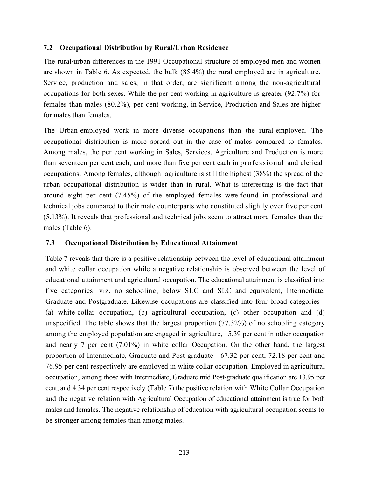# 7.2 Occupational Distribution by Rural/Urban Residence

The rural/urban differences in the 1991 Occupational structure of employed men and women are shown in Table 6. As expected, the bulk (85.4%) the rural employed are in agriculture. Service, production and sales, in that order, are significant among the non-agricultural occupations for both sexes. While the per cent working in agriculture is greater (92.7%) for females than males (80.2%), per cent working, in Service, Production and Sales are higher for males than females.

The Urban-employed work in more diverse occupations than the rural-employed. The occupational distribution is more spread out in the case of males compared to females. Among males, the per cent working in Sales, Services, Agriculture and Production is more than seventeen per cent each; and more than five per cent each in professional and clerical occupations. Among females, although agriculture is still the highest (38%) the spread of the urban occupational distribution is wider than in rural. What is interesting is the fact that around eight per cent (7.45%) of the employed females were found in professional and technical jobs compared to their male counterparts who constituted slightly over five per cent (5.13%). It reveals that professional and technical jobs seem to attract more females than the males (Table 6).

# 7.3 Occupational Distribution by Educational Attainment

Table 7 reveals that there is a positive relationship between the level of educational attainment and white collar occupation while a negative relationship is observed between the level of educational attainment and agricultural occupation. The educational attainment is classified into five categories: viz. no schooling, below SLC and SLC and equivalent, Intermediate, Graduate and Postgraduate. Likewise occupations are classified into four broad categories - (a) white-collar occupation, (b) agricultural occupation, (c) other occupation and (d) unspecified. The table shows that the largest proportion (77.32%) of no schooling category among the employed population are engaged in agriculture, 15.39 per cent in other occupation and nearly 7 per cent (7.01%) in white collar Occupation. On the other hand, the largest proportion of Intermediate, Graduate and Post-graduate - 67.32 per cent, 72.18 per cent and 76.95 per cent respectively are employed in white collar occupation. Employed in agricultural occupation, among those with Intermediate, Graduate mid Post-graduate qualification are 13.95 per cent, and 4.34 per cent respectively (Table 7) the positive relation with White Collar Occupation and the negative relation with Agricultural Occupation of educational attainment is true for both males and females. The negative relationship of education with agricultural occupation seems to be stronger among females than among males.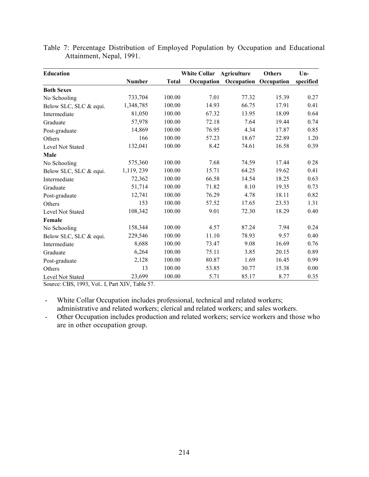| <b>Education</b>       |               |              | <b>White Collar</b> | Agriculture                      | <b>Others</b> | $Un-$     |
|------------------------|---------------|--------------|---------------------|----------------------------------|---------------|-----------|
|                        | <b>Number</b> | <b>Total</b> |                     | Occupation Occupation Occupation |               | specified |
| <b>Both Sexes</b>      |               |              |                     |                                  |               |           |
| No Schooling           | 733,704       | 100.00       | 7.01                | 77.32                            | 15.39         | 0.27      |
| Below SLC, SLC & equi. | 1,348,785     | 100.00       | 14.93               | 66.75                            | 17.91         | 0.41      |
| Intermediate           | 81,050        | 100.00       | 67.32               | 13.95                            | 18.09         | 0.64      |
| Graduate               | 57,978        | 100.00       | 72.18               | 7.64                             | 19.44         | 0.74      |
| Post-graduate          | 14,869        | 100.00       | 76.95               | 4.34                             | 17.87         | 0.85      |
| Others                 | 166           | 100.00       | 57.23               | 18.67                            | 22.89         | 1.20      |
| Level Not Stated       | 132,041       | 100.00       | 8.42                | 74.61                            | 16.58         | 0.39      |
| Male                   |               |              |                     |                                  |               |           |
| No Schooling           | 575,360       | 100.00       | 7.68                | 74.59                            | 17.44         | 028       |
| Below SLC, SLC & equi. | 1,119, 239    | 100.00       | 15.71               | 64.25                            | 19.62         | 0.41      |
| Intermediate           | 72,362        | 100.00       | 66.58               | 14.54                            | 18.25         | 0.63      |
| Graduate               | 51,714        | 100.00       | 71.82               | 8.10                             | 19.35         | 0.73      |
| Post-graduate          | 12,741        | 100.00       | 76.29               | 4.78                             | 18.11         | 0.82      |
| Others                 | 153           | 100.00       | 57.52               | 17.65                            | 23.53         | 1.31      |
| Level Not Stated       | 108,342       | 100.00       | 9.01                | 72.30                            | 18.29         | 0.40      |
| Female                 |               |              |                     |                                  |               |           |
| No Schooling           | 158,344       | 100.00       | 4.57                | 87.24                            | 7.94          | 0.24      |
| Below SLC, SLC & equi. | 229,546       | 100.00       | 11.10               | 78.93                            | 9.57          | 0.40      |
| Intermediate           | 8,688         | 100.00       | 73.47               | 9.08                             | 16.69         | 0.76      |
| Graduate               | 6,264         | 100.00       | 75.11               | 3.85                             | 20.15         | 0.89      |
| Post-graduate          | 2,128         | 100.00       | 80.87               | 1.69                             | 16.45         | 0.99      |
| Others                 | 13            | 100.00       | 53.85               | 30.77                            | 15.38         | 0.00      |
| Level Not Stated       | 23,699        | 100.00       | 5.71                | 85.17                            | 8.77          | 0.35      |

Table 7: Percentage Distribution of Employed Population by Occupation and Educational Attainment, Nepal, 1991.

Source: CBS, 1993, Vol.. I, Part XIV, Table 57.

- White Collar Occupation includes professional, technical and related workers; administrative and related workers; clerical and related workers; and sales workers.

- Other Occupation includes production and related workers; service workers and those who are in other occupation group.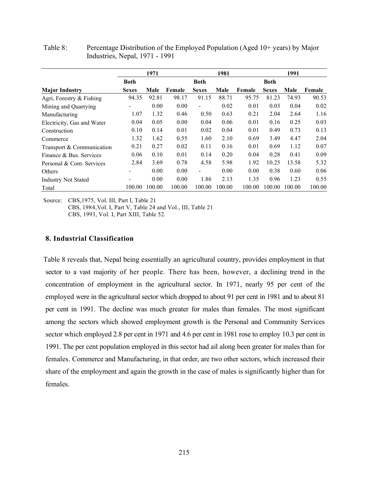|                            |              | 1971   |        |                | 1981   |        |              | 1991   |        |
|----------------------------|--------------|--------|--------|----------------|--------|--------|--------------|--------|--------|
|                            | Both         |        |        | <b>Both</b>    |        |        | <b>Both</b>  |        |        |
| <b>Major Industry</b>      | <b>Sexes</b> | Male   | Female | <b>Sexes</b>   | Male   | Female | <b>Sexes</b> | Male   | Female |
| Agri, Forestry & Fishing   | 94.35        | 92.81  | 98.17  | 91.15          | 88.71  | 95.75  | 81.23        | 74.93  | 90.53  |
| Mining and Quarrying       |              | 0.00   | 0.00   | -              | 0.02   | 0.01   | 0.03         | 0.04   | 0.02   |
| Manufacturing              | 1.07         | 1.32   | 0.46   | 0.50           | 0.63   | 0.21   | 2.04         | 2.64   | 1.16   |
| Electricity, Gas and Water | 0.04         | 0.05   | 0.00   | 0.04           | 0.06   | 0.01   | 0.16         | 0.25   | 0.03   |
| Construction               | 0.10         | 0.14   | 0.01   | 0.02           | 0.04   | 0.01   | 0.49         | 0.73   | 0.13   |
| Commerce                   | 1.32         | 1.62   | 0.55   | 1.60           | 2.10   | 0.69   | 3.49         | 4.47   | 2.04   |
| Transport & Communication  | 0.21         | 0.27   | 0.02   | 0.11           | 0.16   | 0.01   | 0.69         | 1.12   | 0.07   |
| Finance & Bus. Services    | 0.06         | 0.10   | 0.01   | 0.14           | 0.20   | 0.04   | 0.28         | 0.41   | 0.09   |
| Personal & Com. Services   | 2.84         | 3.69   | 0.78   | 4.58           | 5.98   | 1.92   | 10.25        | 13.58  | 5.32   |
| Others                     |              | 0.00   | 0.00   | $\blacksquare$ | 0.00   | 0.00   | 0.38         | 0.60   | 0.06   |
| <b>Industry Not Stated</b> |              | 0.00   | 0.00   | 1.86           | 2.13   | 1.35   | 0.96         | 1.23   | 0.55   |
| Total                      | 100.00       | 100.00 | 100.00 | 100.00         | 100.00 | 100.00 | 100.00       | 100.00 | 100.00 |

Table 8: Percentage Distribution of the Employed Population (Aged 10+ years) by Major Industries, Nepal, 1971 - 1991

Source: CBS,1975, Vol. III, Part I, Table 21

 CBS, 1984,Vol. I, Part V, Table 24 and Vol., III, Table 21 CBS, 1993, Vol. I, Part XIII, Table 52.

# 8. Industrial Classification

Table 8 reveals that, Nepal being essentially an agricultural country, provides employment in that sector to a vast majority of her people. There has been, however, a declining trend in the concentration of employment in the agricultural sector. In 1971, nearly 95 per cent of the employed were in the agricultural sector which dropped to about 91 per cent in 1981 and to about 81 per cent in 1991. The decline was much greater for males than females. The most significant among the sectors which showed employment growth is the Personal and Community Services sector which employed 2.8 per cent in 1971 and 4.6 per cent in 1981 rose to employ 10.3 per cent in 1991. The per cent population employed in this sector had ail along been greater for males than for females. Commerce and Manufacturing, in that order, are two other sectors, which increased their share of the employment and again the growth in the case of males is significantly higher than for females.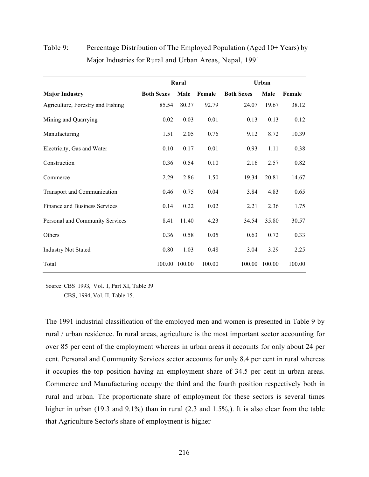|                                   |                   | Rural  |        | Urban             |        |        |  |
|-----------------------------------|-------------------|--------|--------|-------------------|--------|--------|--|
| <b>Major Industry</b>             | <b>Both Sexes</b> | Male   | Female | <b>Both Sexes</b> | Male   | Female |  |
| Agriculture, Forestry and Fishing | 85.54             | 80.37  | 92.79  | 24.07             | 19.67  | 38.12  |  |
| Mining and Quarrying              | 0.02              | 0.03   | 0.01   | 0.13              | 0.13   | 0.12   |  |
| Manufacturing                     | 1.51              | 2.05   | 0.76   | 9.12              | 8.72   | 10.39  |  |
| Electricity, Gas and Water        | 0.10              | 0.17   | 0.01   | 0.93              | 1.11   | 0.38   |  |
| Construction                      | 0.36              | 0.54   | 0.10   | 2.16              | 2.57   | 0.82   |  |
| Commerce                          | 2.29              | 2.86   | 1.50   | 19.34             | 20.81  | 14.67  |  |
| Transport and Communication       | 0.46              | 0.75   | 0.04   | 3.84              | 4.83   | 0.65   |  |
| Finance and Business Services     | 0.14              | 0.22   | 0.02   | 2.21              | 2.36   | 1.75   |  |
| Personal and Community Services   | 8.41              | 11.40  | 4.23   | 34.54             | 35.80  | 30.57  |  |
| Others                            | 0.36              | 0.58   | 0.05   | 0.63              | 0.72   | 0.33   |  |
| <b>Industry Not Stated</b>        | 0.80              | 1.03   | 0.48   | 3.04              | 3.29   | 2.25   |  |
| Total                             | 100.00            | 100.00 | 100.00 | 100.00            | 100.00 | 100.00 |  |

# Table 9: Percentage Distribution of The Employed Population (Aged 10+ Years) by Major Industries for Rural and Urban Areas, Nepal, 1991

Source: CBS 1993, Vol. I, Part XI, Table 39

CBS, 1994, Vol. II, Table 15.

The 1991 industrial classification of the employed men and women is presented in Table 9 by rural / urban residence. In rural areas, agriculture is the most important sector accounting for over 85 per cent of the employment whereas in urban areas it accounts for only about 24 per cent. Personal and Community Services sector accounts for only 8.4 per cent in rural whereas it occupies the top position having an employment share of 34.5 per cent in urban areas. Commerce and Manufacturing occupy the third and the fourth position respectively both in rural and urban. The proportionate share of employment for these sectors is several times higher in urban (19.3 and 9.1%) than in rural (2.3 and 1.5%). It is also clear from the table that Agriculture Sector's share of employment is higher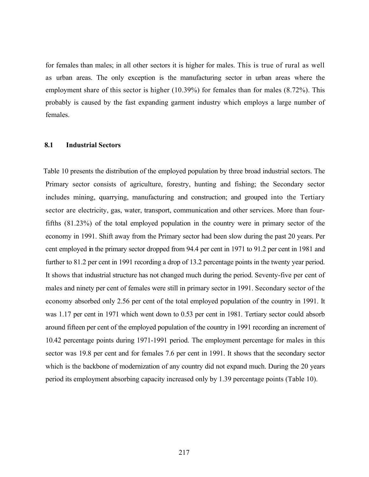for females than males; in all other sectors it is higher for males. This is true of rural as well as urban areas. The only exception is the manufacturing sector in urban areas where the employment share of this sector is higher (10.39%) for females than for males (8.72%). This probably is caused by the fast expanding garment industry which employs a large number of females.

#### 8.1 Industrial Sectors

Table 10 presents the distribution of the employed population by three broad industrial sectors. The Primary sector consists of agriculture, forestry, hunting and fishing; the Secondary sector includes mining, quarrying, manufacturing and construction; and grouped into the Tertiary sector are electricity, gas, water, transport, communication and other services. More than fourfifths (81.23%) of the total employed population in the country were in primary sector of the economy in 1991. Shift away from the Primary sector had been slow during the past 20 years. Per cent employed in the primary sector dropped from 94.4 per cent in 1971 to 91.2 per cent in 1981 and further to 81.2 per cent in 1991 recording a drop of 13.2 percentage points in the twenty year period. It shows that industrial structure has not changed much during the period. Seventy-five per cent of males and ninety per cent of females were still in primary sector in 1991. Secondary sector of the economy absorbed only 2.56 per cent of the total employed population of the country in 1991. It was 1.17 per cent in 1971 which went down to 0.53 per cent in 1981. Tertiary sector could absorb around fifteen per cent of the employed population of the country in 1991 recording an increment of 10.42 percentage points during 1971-1991 period. The employment percentage for males in this sector was 19.8 per cent and for females 7.6 per cent in 1991. It shows that the secondary sector which is the backbone of modernization of any country did not expand much. During the 20 years period its employment absorbing capacity increased only by 1.39 percentage points (Table 10).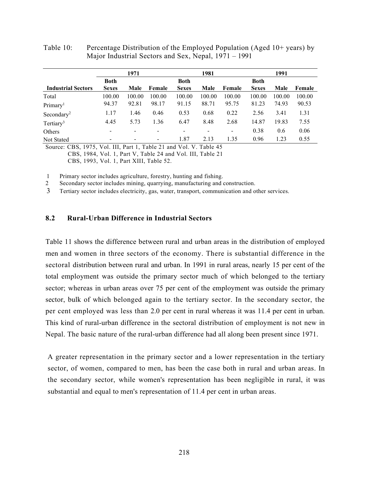|                          | 1971                     |                          |                          | 1981   |                          |              | 1991   |        |
|--------------------------|--------------------------|--------------------------|--------------------------|--------|--------------------------|--------------|--------|--------|
| Both                     |                          |                          | <b>Both</b>              |        |                          | <b>Both</b>  |        |        |
| <b>Sexes</b>             | Male                     | Female                   | <b>Sexes</b>             | Male   | Female                   | <b>Sexes</b> | Male   | Female |
| 100.00                   | 100.00                   | 100.00                   | 100.00                   | 100.00 | 100.00                   | 100.00       | 100.00 | 100.00 |
| 94.37                    | 92.81                    | 98.17                    | 91.15                    | 88.71  | 95.75                    | 81.23        | 74.93  | 90.53  |
| 1.17                     | 1.46                     | 0.46                     | 0.53                     | 0.68   | 0.22                     | 2.56         | 3.41   | 1.31   |
| 4.45                     | 5.73                     | 1.36                     | 6.47                     | 8.48   | 2.68                     | 14.87        | 19.83  | 7.55   |
| $\overline{\phantom{a}}$ |                          | -                        | $\overline{\phantom{a}}$ |        | $\overline{\phantom{a}}$ | 0.38         | 0.6    | 0.06   |
| $\blacksquare$           | $\overline{\phantom{a}}$ | $\overline{\phantom{a}}$ | 1.87                     | 2.13   | 1.35                     | 0.96         | 1.23   | 0.55   |
|                          |                          |                          |                          |        |                          |              |        |        |

Table 10: Percentage Distribution of the Employed Population (Aged 10+ years) by Major Industrial Sectors and Sex, Nepal, 1971 – 1991

Source: CBS, 1975, Vol. III, Part 1, Table 21 and Vol. V. Table 45 CBS, 1984, Vol. 1, Part V, Table 24 and Vol. III, Table 21 CBS, 1993, Vol. 1, Part XIII, Table 52.

1 Primary sector includes agriculture, forestry, hunting and fishing.

2 Secondary sector includes mining, quarrying, manufacturing and construction.

3 Tertiary sector includes electricity, gas, water, transport, communication and other services.

## 8.2 Rural-Urban Difference in Industrial Sectors

Table 11 shows the difference between rural and urban areas in the distribution of employed men and women in three sectors of the economy. There is substantial difference in the sectoral distribution between rural and urban. In 1991 in rural areas, nearly 15 per cent of the total employment was outside the primary sector much of which belonged to the tertiary sector; whereas in urban areas over 75 per cent of the employment was outside the primary sector, bulk of which belonged again to the tertiary sector. In the secondary sector, the per cent employed was less than 2.0 per cent in rural whereas it was 11.4 per cent in urban. This kind of rural-urban difference in the sectoral distribution of employment is not new in Nepal. The basic nature of the rural-urban difference had all along been present since 1971.

A greater representation in the primary sector and a lower representation in the tertiary sector, of women, compared to men, has been the case both in rural and urban areas. In the secondary sector, while women's representation has been negligible in rural, it was substantial and equal to men's representation of 11.4 per cent in urban areas.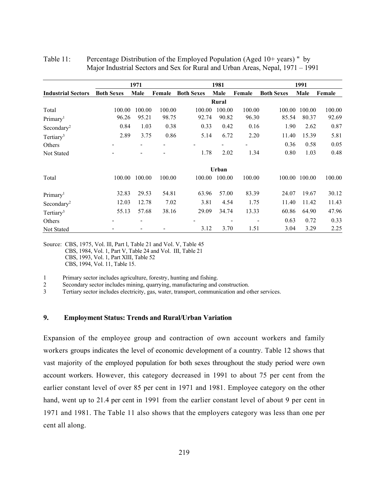|                           |                   | 1971   |        |                   | 1981   |        |                   | 1991          |        |
|---------------------------|-------------------|--------|--------|-------------------|--------|--------|-------------------|---------------|--------|
| <b>Industrial Sectors</b> | <b>Both Sexes</b> | Male   | Female | <b>Both Sexes</b> | Male   | Female | <b>Both Sexes</b> | Male          | Female |
|                           |                   |        |        |                   | Rural  |        |                   |               |        |
| Total                     | 100.00            | 100.00 | 100.00 | 100.00            | 100.00 | 100.00 | 100.00            | 100.00        | 100.00 |
| Primary <sup>1</sup>      | 96.26             | 95.21  | 98.75  | 92.74             | 90.82  | 96.30  | 85.54             | 80.37         | 92.69  |
| Secondary <sup>2</sup>    | 0.84              | 1.03   | 0.38   | 0.33              | 0.42   | 0.16   | 1.90              | 2.62          | 0.87   |
| Tertiary <sup>3</sup>     | 2.89              | 3.75   | 0.86   | 5.14              | 6.72   | 2.20   | 11.40             | 15.39         | 5.81   |
| Others                    |                   |        |        |                   |        |        | 0.36              | 0.58          | 0.05   |
| Not Stated                |                   |        |        | 1.78              | 2.02   | 1.34   | 0.80              | 1.03          | 0.48   |
|                           |                   |        |        |                   | Urban  |        |                   |               |        |
| Total                     | 100.00            | 100.00 | 100.00 | 100.00            | 100.00 | 100.00 |                   | 100.00 100.00 | 100.00 |
| Primary <sup>1</sup>      | 32.83             | 29.53  | 54.81  | 63.96             | 57.00  | 83.39  | 24.07             | 19.67         | 30.12  |
| Secondary <sup>2</sup>    | 12.03             | 12.78  | 7.02   | 3.81              | 4.54   | 1.75   | 11.40             | 11.42         | 11.43  |
| Tertiary <sup>3</sup>     | 55.13             | 57.68  | 38.16  | 29.09             | 34.74  | 13.33  | 60.86             | 64.90         | 47.96  |
| Others                    |                   |        |        |                   |        |        | 0.63              | 0.72          | 0.33   |
| Not Stated                |                   |        |        | 3.12              | 3.70   | 1.51   | 3.04              | 3.29          | 2.25   |

| Table 11: | Percentage Distribution of the Employed Population (Aged 10+ years) " by       |
|-----------|--------------------------------------------------------------------------------|
|           | Major Industrial Sectors and Sex for Rural and Urban Areas, Nepal, 1971 – 1991 |

Source: CBS, 1975, Vol. lll, Part l, Table 21 and Vol. V, Table 45 CBS, 1984, Vol. 1, Part V, Table 24 and Vol. III, Table 21 CBS, 1993, Vol. 1, Part XIII, Table 52 CBS, 1994, Vol. 11, Table 15.

1 Primary sector includes agriculture, forestry, hunting and fishing.

2 Secondary sector includes mining, quarrying, manufacturing and construction.

3 Tertiary sector includes electricity, gas, water, transport, communication and other services.

#### 9. Employment Status: Trends and Rural/Urban Variation

Expansion of the employee group and contraction of own account workers and family workers groups indicates the level of economic development of a country. Table 12 shows that vast majority of the employed population for both sexes throughout the study period were own account workers. However, this category decreased in 1991 to about 75 per cent from the earlier constant level of over 85 per cent in 1971 and 1981. Employee category on the other hand, went up to 21.4 per cent in 1991 from the earlier constant level of about 9 per cent in 1971 and 1981. The Table 11 also shows that the employers category was less than one per cent all along.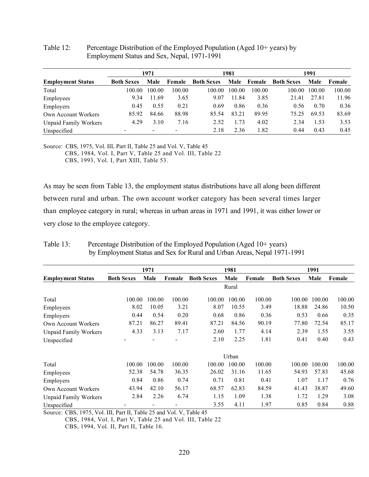|                              |                   | 1971   |        |                   | 1981   |        |                   | 1991   |        |
|------------------------------|-------------------|--------|--------|-------------------|--------|--------|-------------------|--------|--------|
| <b>Employment Status</b>     | <b>Both Sexes</b> | Male   | Female | <b>Both Sexes</b> | Male   | Female | <b>Both Sexes</b> | Male   | Female |
| Total                        | 100.00            | 100.00 | 100.00 | 100.00            | 100.00 | 100.00 | 100.00            | 100.00 | 100.00 |
| Employees                    | 9.34              | 11.69  | 3.65   | 9.07              | 11.84  | 3.85   | 21.41             | 27.81  | 11.96  |
| Employers                    | 0.45              | 0.55   | 0.21   | 0.69              | 0.86   | 0.36   | 0.56              | 0.70   | 0.36   |
| Own Account Workers          | 85.92             | 84.66  | 88.98  | 85.54             | 83.21  | 89.95  | 75.25             | 69.53  | 83.69  |
| <b>Unpaid Family Workers</b> | 4.29              | 3.10   | 7.16   | 2.52              | 1.73   | 4.02   | 2.34              | 1.53   | 3.53   |
| Unspecified                  |                   |        |        | 2.18              | 2.36   | 1.82   | 0.44              | 0.43   | 0.45   |

### Table 12: Percentage Distribution of the Employed Population (Aged 10+ years) by Employment Status and Sex, Nepal, 1971-1991

Source: CBS, 1975, Vol. III, Part II, Table 25 and Vol. V, Table 45 CBS, 1984, Vol. I, Part V, Table 25 and Vol. III, Table 22 CBS, 1993, Vol. I, Part XIII, Table 53.

As may be seen from Table 13, the employment status distributions have all along been different between rural and urban. The own account worker category has been several times larger than employee category in rural; whereas in urban areas in 1971 and 1991, it was either lower or very close to the employee category.

|                              |                   | 1971            |        |                   | 1981   |        |                   | 1991   |        |
|------------------------------|-------------------|-----------------|--------|-------------------|--------|--------|-------------------|--------|--------|
| <b>Employment Status</b>     | <b>Both Sexes</b> | Male            | Female | <b>Both Sexes</b> | Male   | Female | <b>Both Sexes</b> | Male   | Female |
|                              |                   |                 |        |                   | Rural  |        |                   |        |        |
| Total                        | 100.00            | 100.00          | 100.00 | 100.00            | 100.00 | 100.00 | 100.00            | 100.00 | 100.00 |
| Employees                    | 8.02              | 10.05           | 3.21   | 8.07              | 10.55  | 3.49   | 18.88             | 24.86  | 10.50  |
| Employers                    | 0.44              | 0.54            | 0.20   | 0.68              | 0.86   | 0.36   | 0.53              | 0.66   | 0.35   |
| Own Account Workers          | 87.21             | 86.27           | 89.41  | 87.21             | 84.56  | 90.19  | 77.80             | 72.54  | 85.17  |
| <b>Unpaid Family Workers</b> | 4.33              | 3.13            | 7.17   | 2.60              | 1.77   | 4.14   | 2.39              | 1.55   | 3.55   |
| Unspecified                  |                   |                 |        | 2.10              | 2.25   | 1.81   | 0.41              | 0.40   | 0.43   |
|                              |                   |                 |        |                   | Urban  |        |                   |        |        |
| Total                        | 100.00            | 100.00          | 100.00 | 100.00            | 100.00 | 100.00 | 100.00            | 100.00 | 100.00 |
| Employees                    | 52.38             | 54.78           | 36.35  | 26.02             | 31.16  | 11.65  | 54.93             | 57.83  | 45.68  |
| Employers                    | 0.84              | 0.86            | 0.74   | 0.71              | 0.81   | 0.41   | 1.07              | 1.17   | 0.76   |
| Own Account Workers          | 43.94             | 42.10           | 56.17  | 68.57             | 62.83  | 84.59  | 41.43             | 38.87  | 49.60  |
| <b>Unpaid Family Workers</b> | 2.84              | 2.26            | 6.74   | 1.15              | 1.09   | 1.38   | 1.72              | 1.29   | 3.08   |
| Unspecified                  |                   | $\qquad \qquad$ |        | 3.55              | 4.11   | 1.97   | 0.85              | 0.84   | 0.88   |

Table 13: Percentage Distribution of the Employed Population (Aged 10+ years) by Employment Status and Sex for Rural and Urban Areas, Nepal 1971-1991

Source: CBS, 1975, Vol. III, Part II, Table 25 and Vol. V, Table 45

CBS, 1984, Vol. I, Part V, Table 25 and Vol. III, Table 22 CBS, 1994, Vol. II, Part II, Table 16.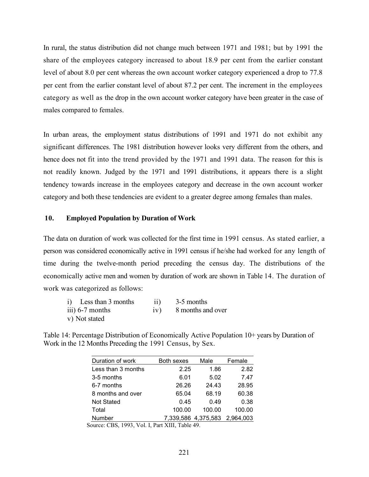In rural, the status distribution did not change much between 1971 and 1981; but by 1991 the share of the employees category increased to about 18.9 per cent from the earlier constant level of about 8.0 per cent whereas the own account worker category experienced a drop to 77.8 per cent from the earlier constant level of about 87.2 per cent. The increment in the employees category as well as the drop in the own account worker category have been greater in the case of males compared to females.

In urban areas, the employment status distributions of 1991 and 1971 do not exhibit any significant differences. The 1981 distribution however looks very different from the others, and hence does not fit into the trend provided by the 1971 and 1991 data. The reason for this is not readily known. Judged by the 1971 and 1991 distributions, it appears there is a slight tendency towards increase in the employees category and decrease in the own account worker category and both these tendencies are evident to a greater degree among females than males.

#### 10. Employed Population by Duration of Work

The data on duration of work was collected for the first time in 1991 census. As stated earlier, a person was considered economically active in 1991 census if he/she had worked for any length of time during the twelve-month period preceding the census day. The distributions of the economically active men and women by duration of work are shown in Table 14. The duration of work was categorized as follows:

| i) Less than 3 months | $\overline{11}$ | 3-5 months            |
|-----------------------|-----------------|-----------------------|
| iii) 6-7 months       |                 | iv) 8 months and over |
| v) Not stated         |                 |                       |

| Table 14: Percentage Distribution of Economically Active Population 10+ years by Duration of |
|----------------------------------------------------------------------------------------------|
| Work in the 12 Months Preceding the 1991 Census, by Sex.                                     |

| Duration of work   | <b>Both sexes</b> | Male                | Female    |
|--------------------|-------------------|---------------------|-----------|
| Less than 3 months | 2.25              | 1.86                | 2.82      |
| 3-5 months         | 6.01              | 5.02                | 7.47      |
| 6-7 months         | 26.26             | 24.43               | 28.95     |
| 8 months and over  | 65.04             | 68.19               | 60.38     |
| <b>Not Stated</b>  | 0.45              | 0.49                | 0.38      |
| Total              | 100.00            | 100.00              | 100.00    |
| <b>Number</b>      |                   | 7,339,586 4,375,583 | 2.964.003 |

Source: CBS, 1993, Vol. I, Part XIII, Table 49.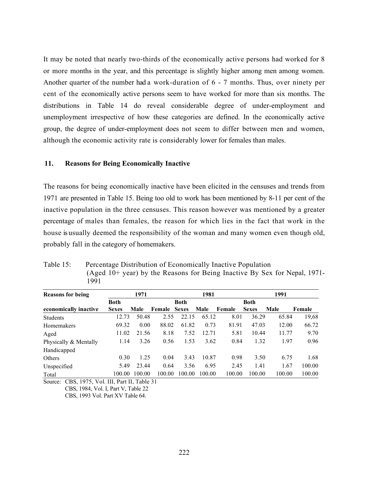It may be noted that nearly two-thirds of the economically active persons had worked for 8 or more months in the year, and this percentage is slightly higher among men among women. Another quarter of the number had a work-duration of 6 - 7 months. Thus, over ninety per cent of the economically active persons seem to have worked for more than six months. The distributions in Table 14 do reveal considerable degree of under-employment and unemployment irrespective of how these categories are defined. In the economically active group, the degree of under-employment does not seem to differ between men and women, although the economic activity rate is considerably lower for females than males.

#### 11. Reasons for Being Economically Inactive

The reasons for being economically inactive have been elicited in the censuses and trends from 1971 are presented in Table 15. Being too old to work has been mentioned by 8-11 per cent of the inactive population in the three censuses. This reason however was mentioned by a greater percentage of males than females, the reason for which lies in the fact that work in the house is usually deemed the responsibility of the woman and many women even though old, probably fall in the category of homemakers.

| Table 15: | Percentage Distribution of Economically Inactive Population                 |
|-----------|-----------------------------------------------------------------------------|
|           | (Aged $10+$ year) by the Reasons for Being Inactive By Sex for Nepal, 1971- |
|           | 1991                                                                        |

| <b>Reasons for being</b> |              | 1971   |        |              | 1981   |        |              | 1991   |        |
|--------------------------|--------------|--------|--------|--------------|--------|--------|--------------|--------|--------|
|                          | Both         |        |        | <b>Both</b>  |        |        | <b>Both</b>  |        |        |
| economically inactive    | <b>Sexes</b> | Male   | Female | <b>Sexes</b> | Male   | Female | <b>Sexes</b> | Male   | Female |
| <b>Students</b>          | 12.73        | 50.48  | 2.55   | 22.15        | 65.12  | 8.01   | 36.29        | 65.84  | 19,68  |
| Homemakers               | 69.32        | 0.00   | 88.02  | 61.82        | 0.73   | 81.91  | 47.03        | 12.00  | 66.72  |
| Aged                     | 11.02        | 21.56  | 8.18   | 7.52         | 12.71  | 5.81   | 10.44        | 11.77  | 9.70   |
| Physically & Mentally    | 1.14         | 3.26   | 0.56   | 1.53         | 3.62   | 0.84   | 1.32         | 1.97   | 0.96   |
| Handicapped              |              |        |        |              |        |        |              |        |        |
| <b>Others</b>            | 0.30         | 1.25   | 0.04   | 3.43         | 10.87  | 0.98   | 3.50         | 6.75   | 1.68   |
| Unspecified              | 5.49         | 23.44  | 0.64   | 3.56         | 6.95   | 2.45   | 1.41         | 1.67   | 100.00 |
| Total                    | 100.00       | 100.00 | 100.00 | 100.00       | 100.00 | 100.00 | 100.00       | 100.00 | 100.00 |

Source: CBS, 1975, Vol. III, Part II, Table 31

CBS, 1984, Vol. I, Part V, Table 22

CBS, 1993 Vol. Part XV Table 64.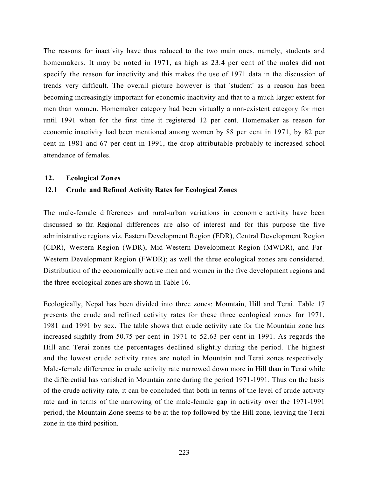The reasons for inactivity have thus reduced to the two main ones, namely, students and homemakers. It may be noted in 1971, as high as 23.4 per cent of the males did not specify the reason for inactivity and this makes the use of 1971 data in the discussion of trends very difficult. The overall picture however is that 'student' as a reason has been becoming increasingly important for economic inactivity and that to a much larger extent for men than women. Homemaker category had been virtually a non-existent category for men until 1991 when for the first time it registered 12 per cent. Homemaker as reason for economic inactivity had been mentioned among women by 88 per cent in 1971, by 82 per cent in 1981 and 67 per cent in 1991, the drop attributable probably to increased school attendance of females.

#### 12. Ecological Zones

#### 12.1 Crude and Refined Activity Rates for Ecological Zones

The male-female differences and rural-urban variations in economic activity have been discussed so far. Regional differences are also of interest and for this purpose the five administrative regions viz. Eastern Development Region (EDR), Central Development Region (CDR), Western Region (WDR), Mid-Western Development Region (MWDR), and Far-Western Development Region (FWDR); as well the three ecological zones are considered. Distribution of the economically active men and women in the five development regions and the three ecological zones are shown in Table 16.

Ecologically, Nepal has been divided into three zones: Mountain, Hill and Terai. Table 17 presents the crude and refined activity rates for these three ecological zones for 1971, 1981 and 1991 by sex. The table shows that crude activity rate for the Mountain zone has increased slightly from 50.75 per cent in 1971 to 52.63 per cent in 1991. As regards the Hill and Terai zones the percentages declined slightly during the period. The highest and the lowest crude activity rates are noted in Mountain and Terai zones respectively. Male-female difference in crude activity rate narrowed down more in Hill than in Terai while the differential has vanished in Mountain zone during the period 1971-1991. Thus on the basis of the crude activity rate, it can be concluded that both in terms of the level of crude activity rate and in terms of the narrowing of the male-female gap in activity over the 1971-1991 period, the Mountain Zone seems to be at the top followed by the Hill zone, leaving the Terai zone in the third position.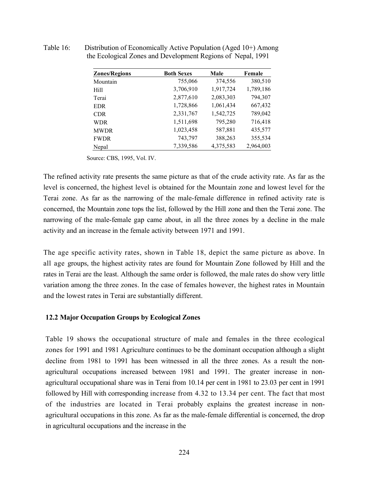| <b>Zones/Regions</b> | <b>Both Sexes</b> | Male      | Female    |
|----------------------|-------------------|-----------|-----------|
| Mountain             | 755,066           | 374,556   | 380,510   |
| Hill                 | 3,706,910         | 1,917,724 | 1,789,186 |
| Terai                | 2,877,610         | 2,083,303 | 794,307   |
| <b>EDR</b>           | 1,728,866         | 1,061,434 | 667,432   |
| <b>CDR</b>           | 2,331,767         | 1,542,725 | 789,042   |
| <b>WDR</b>           | 1,511,698         | 795,280   | 716,418   |
| <b>MWDR</b>          | 1,023,458         | 587,881   | 435,577   |
| <b>FWDR</b>          | 743,797           | 388,263   | 355,534   |
| Nepal                | 7,339,586         | 4,375,583 | 2,964,003 |

Table 16: Distribution of Economically Active Population (Aged 10+) Among the Ecological Zones and Development Regions of Nepal, 1991

Source: CBS, 1995, Vol. IV.

The refined activity rate presents the same picture as that of the crude activity rate. As far as the level is concerned, the highest level is obtained for the Mountain zone and lowest level for the Terai zone. As far as the narrowing of the male-female difference in refined activity rate is concerned, the Mountain zone tops the list, followed by the Hill zone and then the Terai zone. The narrowing of the male-female gap came about, in all the three zones by a decline in the male activity and an increase in the female activity between 1971 and 1991.

The age specific activity rates, shown in Table 18, depict the same picture as above. In all age groups, the highest activity rates are found for Mountain Zone followed by Hill and the rates in Terai are the least. Although the same order is followed, the male rates do show very little variation among the three zones. In the case of females however, the highest rates in Mountain and the lowest rates in Terai are substantially different.

### 12.2 Major Occupation Groups by Ecological Zones

Table 19 shows the occupational structure of male and females in the three ecological zones for 1991 and 1981 Agriculture continues to be the dominant occupation although a slight decline from 1981 to 1991 has been witnessed in all the three zones. As a result the nonagricultural occupations increased between 1981 and 1991. The greater increase in nonagricultural occupational share was in Terai from 10.14 per cent in 1981 to 23.03 per cent in 1991 followed by Hill with corresponding increase from 4.32 to 13.34 per cent. The fact that most of the industries are located in Terai probably explains the greatest increase in nonagricultural occupations in this zone. As far as the male-female differential is concerned, the drop in agricultural occupations and the increase in the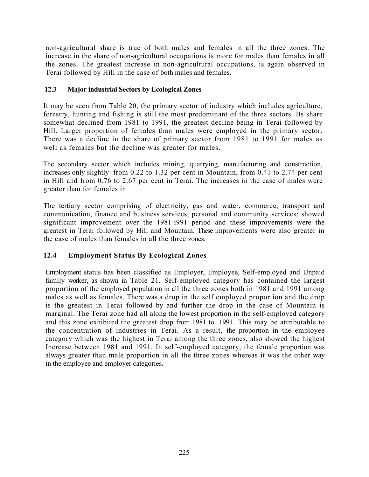non-agricultural share is true of both males and females in all the three zones. The increase in the share of non-agricultural occupations is more for males than females in all the zones. The greatest increase in non-agricultural occupations, is again observed in Terai followed by Hill in the case of both males and females.

# 12.3 Major industrial Sectors by Ecological Zones

It may be seen from Table 20, the primary sector of industry which includes agriculture, forestry, hunting and fishing is still the most predominant of the three sectors. Its share somewhat declined from 1981 to 1991, the greatest decline being in Terai followed by Hill. Larger proportion of females than males were employed in the primary sector. There was a decline in the share of primary sector from 1981 to 1991 for males as well as females but the decline was greater for males.

The secondary sector which includes mining, quarrying, manufacturing and construction, increases only slightly- from 0.22 to 1.32 per cent in Mountain, from 0.41 to 2.74 per cent in Hill and from 0.76 to 2.67 per cent in Terai. The increases in the case of males were greater than for females in

The tertiary sector comprising of electricity, gas and water, commerce, transport and communication, finance and business services, personal and community services; showed significant improvement over the 1981-i991 period and these improvements were the greatest in Terai followed by Hill and Mountain. These improvements were also greater in the case of males than females in all the three zones.

# 12.4 Employment Status By Ecological Zones

Employment status has been classified as Employer, Employee, Self-employed and Unpaid family worker, as shown in Table 21. Self-employed category has contained the largest proportion of the employed population in all the three zones both in 1981 and 1991 among males as well as females. There was a drop in the self employed proportion and the drop is the greatest in Terai followed by and further the drop in the case of Mountain is marginal. The Terai zone had all along the lowest proportion in the self-employed category and this zone exhibited the greatest drop from 1981 to 1991. This may be attributable to the concentration of industries in Terai. As a result, the proportion in the employee category which was the highest in Terai among the three zones, also showed the highest Increase between 1981 and 1991. In self-employed category, the female proportion was always greater than male proportion in all the three zones whereas it was the other way in the employee and employer categories.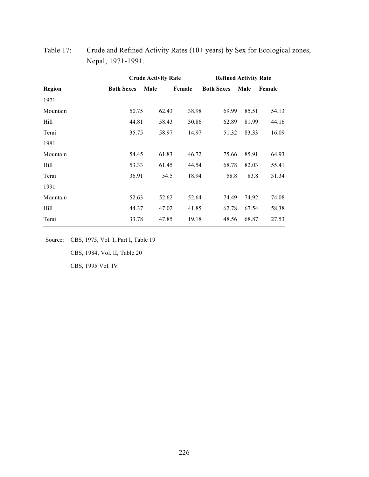|               |                   | <b>Crude Activity Rate</b> |        | <b>Refined Activity Rate</b> |       |        |  |
|---------------|-------------------|----------------------------|--------|------------------------------|-------|--------|--|
| <b>Region</b> | <b>Both Sexes</b> | Male                       | Female | <b>Both Sexes</b>            | Male  | Female |  |
| 1971          |                   |                            |        |                              |       |        |  |
| Mountain      | 50.75             | 62.43                      | 38.98  | 69.99                        | 85.51 | 54.13  |  |
| Hill          | 44.81             | 58.43                      | 30.86  | 62.89                        | 81.99 | 44.16  |  |
| Terai         | 35.75             | 58.97                      | 14.97  | 51.32                        | 83.33 | 16.09  |  |
| 1981          |                   |                            |        |                              |       |        |  |
| Mountain      | 54.45             | 61.83                      | 46.72  | 75.66                        | 85.91 | 64.93  |  |
| Hill          | 53.33             | 61.45                      | 44.54  | 68.78                        | 82.03 | 55.41  |  |
| Terai         | 36.91             | 54.5                       | 18.94  | 58.8                         | 83.8  | 31.34  |  |
| 1991          |                   |                            |        |                              |       |        |  |
| Mountain      | 52.63             | 52.62                      | 52.64  | 74.49                        | 74.92 | 74.08  |  |
| Hill          | 44.37             | 47.02                      | 41.85  | 62.78                        | 67.54 | 58.38  |  |
| Terai         | 33.78             | 47.85                      | 19.18  | 48.56                        | 68.87 | 27.53  |  |

Table 17: Crude and Refined Activity Rates (10+ years) by Sex for Ecological zones, Nepal, 1971-1991.

Source: CBS, 1975, Vol. I, Part I, Table 19 CBS, 1984, Vol. II, Table 20 CBS, 1995 Vol. IV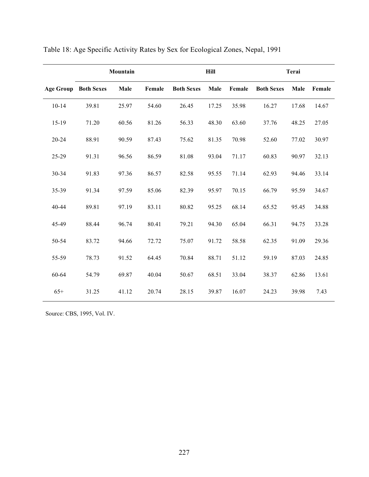|                             |       | Mountain |        |                   | <b>Hill</b> |        |                   | Terai |        |
|-----------------------------|-------|----------|--------|-------------------|-------------|--------|-------------------|-------|--------|
| <b>Age Group Both Sexes</b> |       | Male     | Female | <b>Both Sexes</b> | Male        | Female | <b>Both Sexes</b> | Male  | Female |
| $10 - 14$                   | 39.81 | 25.97    | 54.60  | 26.45             | 17.25       | 35.98  | 16.27             | 17.68 | 14.67  |
| $15-19$                     | 71.20 | 60.56    | 81.26  | 56.33             | 48.30       | 63.60  | 37.76             | 48.25 | 27.05  |
| $20 - 24$                   | 88.91 | 90.59    | 87.43  | 75.62             | 81.35       | 70.98  | 52.60             | 77.02 | 30.97  |
| 25-29                       | 91.31 | 96.56    | 86.59  | $81.08\,$         | 93.04       | 71.17  | 60.83             | 90.97 | 32.13  |
| 30-34                       | 91.83 | 97.36    | 86.57  | 82.58             | 95.55       | 71.14  | 62.93             | 94.46 | 33.14  |
| 35-39                       | 91.34 | 97.59    | 85.06  | 82.39             | 95.97       | 70.15  | 66.79             | 95.59 | 34.67  |
| 40-44                       | 89.81 | 97.19    | 83.11  | 80.82             | 95.25       | 68.14  | 65.52             | 95.45 | 34.88  |
| 45-49                       | 88.44 | 96.74    | 80.41  | 79.21             | 94.30       | 65.04  | 66.31             | 94.75 | 33.28  |
| 50-54                       | 83.72 | 94.66    | 72.72  | 75.07             | 91.72       | 58.58  | 62.35             | 91.09 | 29.36  |
| 55-59                       | 78.73 | 91.52    | 64.45  | 70.84             | 88.71       | 51.12  | 59.19             | 87.03 | 24.85  |
| 60-64                       | 54.79 | 69.87    | 40.04  | 50.67             | 68.51       | 33.04  | 38.37             | 62.86 | 13.61  |
| $65+$                       | 31.25 | 41.12    | 20.74  | 28.15             | 39.87       | 16.07  | 24.23             | 39.98 | 7.43   |

Table 18: Age Specific Activity Rates by Sex for Ecological Zones, Nepal, 1991

Source: CBS, 1995, Vol. IV.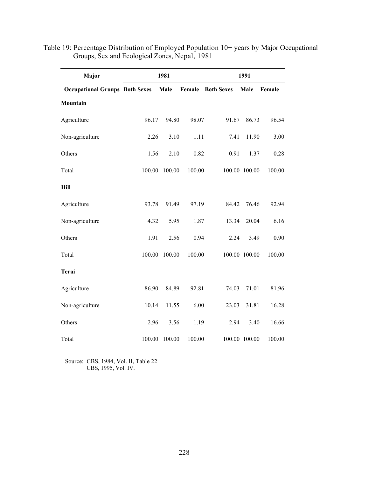| Major                                 | 1981<br>1991 |        |        |                   |               |        |
|---------------------------------------|--------------|--------|--------|-------------------|---------------|--------|
| <b>Occupational Groups Both Sexes</b> |              | Male   | Female | <b>Both Sexes</b> | Male          | Female |
| Mountain                              |              |        |        |                   |               |        |
| Agriculture                           | 96.17        | 94.80  | 98.07  | 91.67             | 86.73         | 96.54  |
| Non-agriculture                       | 2.26         | 3.10   | 1.11   | 7.41              | 11.90         | 3.00   |
| Others                                | 1.56         | 2.10   | 0.82   | 0.91              | 1.37          | 0.28   |
| Total                                 | 100.00       | 100.00 | 100.00 |                   | 100.00 100.00 | 100.00 |
| Hill                                  |              |        |        |                   |               |        |
| Agriculture                           | 93.78        | 91.49  | 97.19  | 84.42             | 76.46         | 92.94  |
| Non-agriculture                       | 4.32         | 5.95   | 1.87   | 13.34             | 20.04         | 6.16   |
| Others                                | 1.91         | 2.56   | 0.94   | 2.24              | 3.49          | 0.90   |
| Total                                 | 100.00       | 100.00 | 100.00 |                   | 100.00 100.00 | 100.00 |
| <b>Terai</b>                          |              |        |        |                   |               |        |
| Agriculture                           | 86.90        | 84.89  | 92.81  | 74.03             | 71.01         | 81.96  |
| Non-agriculture                       | 10.14        | 11.55  | 6.00   | 23.03             | 31.81         | 16.28  |
| Others                                | 2.96         | 3.56   | 1.19   | 2.94              | 3.40          | 16.66  |
| Total                                 | 100.00       | 100.00 | 100.00 |                   | 100.00 100.00 | 100.00 |

Table 19: Percentage Distribution of Employed Population 10+ years by Major Occupational Groups, Sex and Ecological Zones, Nepal, 1981

Source: CBS, 1984, Vol. II, Table 22 CBS, 1995, Vol. IV.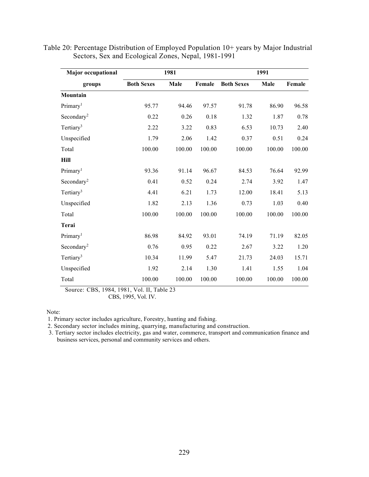| <b>Major occupational</b> |                   | 1981   |        | 1991              |        |        |
|---------------------------|-------------------|--------|--------|-------------------|--------|--------|
| groups                    | <b>Both Sexes</b> | Male   | Female | <b>Both Sexes</b> | Male   | Female |
| Mountain                  |                   |        |        |                   |        |        |
| Primary <sup>1</sup>      | 95.77             | 94.46  | 97.57  | 91.78             | 86.90  | 96.58  |
| Secondary <sup>2</sup>    | 0.22              | 0.26   | 0.18   | 1.32              | 1.87   | 0.78   |
| Tertiary <sup>3</sup>     | 2.22              | 3.22   | 0.83   | 6.53              | 10.73  | 2.40   |
| Unspecified               | 1.79              | 2.06   | 1.42   | 0.37              | 0.51   | 0.24   |
| Total                     | 100.00            | 100.00 | 100.00 | 100.00            | 100.00 | 100.00 |
| Hill                      |                   |        |        |                   |        |        |
| Primary <sup>1</sup>      | 93.36             | 91.14  | 96.67  | 84.53             | 76.64  | 92.99  |
| Secondary <sup>2</sup>    | 0.41              | 0.52   | 0.24   | 2.74              | 3.92   | 1.47   |
| Tertiary <sup>3</sup>     | 4.41              | 6.21   | 1.73   | 12.00             | 18.41  | 5.13   |
| Unspecified               | 1.82              | 2.13   | 1.36   | 0.73              | 1.03   | 0.40   |
| Total                     | 100.00            | 100.00 | 100.00 | 100.00            | 100.00 | 100.00 |
| Terai                     |                   |        |        |                   |        |        |
| Primary <sup>1</sup>      | 86.98             | 84.92  | 93.01  | 74.19             | 71.19  | 82.05  |
| Secondary <sup>2</sup>    | 0.76              | 0.95   | 0.22   | 2.67              | 3.22   | 1.20   |
| Tertiary <sup>3</sup>     | 10.34             | 11.99  | 5.47   | 21.73             | 24.03  | 15.71  |
| Unspecified               | 1.92              | 2.14   | 1.30   | 1.41              | 1.55   | 1.04   |
| Total                     | 100.00            | 100.00 | 100.00 | 100.00            | 100.00 | 100.00 |

Table 20: Percentage Distribution of Employed Population 10+ years by Major Industrial Sectors, Sex and Ecological Zones, Nepal, 1981-1991

Source: CBS, 1984, 1981, Vol. II, Table 23 CBS, 1995, Vol. IV.

Note:

1. Primary sector includes agriculture, Forestry, hunting and fishing.

2. Secondary sector includes mining, quarrying, manufacturing and construction.

3. Tertiary sector includes electricity, gas and water, commerce, transport and communication finance and business services, personal and community services and others.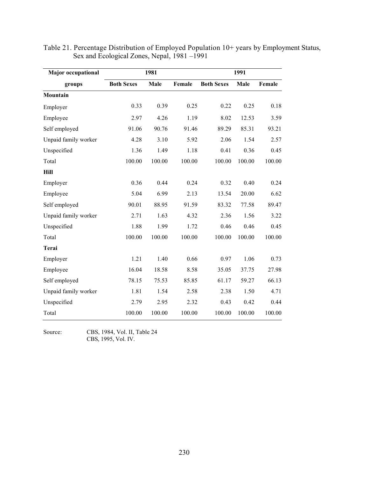| <b>Major</b> occupational |                   | 1981   |        | 1991              |        |        |  |
|---------------------------|-------------------|--------|--------|-------------------|--------|--------|--|
| groups                    | <b>Both Sexes</b> | Male   | Female | <b>Both Sexes</b> | Male   | Female |  |
| Mountain                  |                   |        |        |                   |        |        |  |
| Employer                  | 0.33              | 0.39   | 0.25   | 0.22              | 0.25   | 0.18   |  |
| Employee                  | 2.97              | 4.26   | 1.19   | 8.02              | 12.53  | 3.59   |  |
| Self employed             | 91.06             | 90.76  | 91.46  | 89.29             | 85.31  | 93.21  |  |
| Unpaid family worker      | 4.28              | 3.10   | 5.92   | 2.06              | 1.54   | 2.57   |  |
| Unspecified               | 1.36              | 1.49   | 1.18   | 0.41              | 0.36   | 0.45   |  |
| Total                     | 100.00            | 100.00 | 100.00 | 100.00            | 100.00 | 100.00 |  |
| Hill                      |                   |        |        |                   |        |        |  |
| Employer                  | 0.36              | 0.44   | 0.24   | 0.32              | 0.40   | 0.24   |  |
| Employee                  | 5.04              | 6.99   | 2.13   | 13.54             | 20.00  | 6.62   |  |
| Self employed             | 90.01             | 88.95  | 91.59  | 83.32             | 77.58  | 89.47  |  |
| Unpaid family worker      | 2.71              | 1.63   | 4.32   | 2.36              | 1.56   | 3.22   |  |
| Unspecified               | 1.88              | 1.99   | 1.72   | 0.46              | 0.46   | 0.45   |  |
| Total                     | 100.00            | 100.00 | 100.00 | 100.00            | 100.00 | 100.00 |  |
| Terai                     |                   |        |        |                   |        |        |  |
| Employer                  | 1.21              | 1.40   | 0.66   | 0.97              | 1.06   | 0.73   |  |
| Employee                  | 16.04             | 18.58  | 8.58   | 35.05             | 37.75  | 27.98  |  |
| Self employed             | 78.15             | 75.53  | 85.85  | 61.17             | 59.27  | 66.13  |  |
| Unpaid family worker      | 1.81              | 1.54   | 2.58   | 2.38              | 1.50   | 4.71   |  |
| Unspecified               | 2.79              | 2.95   | 2.32   | 0.43              | 0.42   | 0.44   |  |
| Total                     | 100.00            | 100.00 | 100.00 | 100.00            | 100.00 | 100.00 |  |

Table 21. Percentage Distribution of Employed Population 10+ years by Employment Status, Sex and Ecological Zones, Nepal, 1981 –1991

Source: CBS, 1984, Vol. II, Table 24 CBS, 1995, Vol. IV.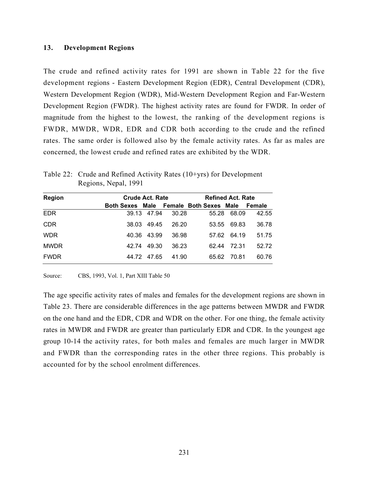### 13. Development Regions

The crude and refined activity rates for 1991 are shown in Table 22 for the five development regions - Eastern Development Region (EDR), Central Development (CDR), Western Development Region (WDR), Mid-Western Development Region and Far-Western Development Region (FWDR). The highest activity rates are found for FWDR. In order of magnitude from the highest to the lowest, the ranking of the development regions is FWDR, MWDR, WDR, EDR and CDR both according to the crude and the refined rates. The same order is followed also by the female activity rates. As far as males are concerned, the lowest crude and refined rates are exhibited by the WDR.

| <b>Region</b> | <b>Crude Act. Rate</b>                 |             |       | <b>Refined Act. Rate</b> |       |        |  |
|---------------|----------------------------------------|-------------|-------|--------------------------|-------|--------|--|
|               | Both Sexes Male Female Both Sexes Male |             |       |                          |       | Female |  |
| <b>EDR</b>    |                                        | 39.13 47.94 | 30.28 | 55.28                    | 68.09 | 42.55  |  |
| <b>CDR</b>    | 38.03                                  | 49.45       | 26.20 | 53.55                    | 69.83 | 36.78  |  |
| <b>WDR</b>    |                                        | 40.36 43.99 | 36.98 | 57.62                    | 64.19 | 51.75  |  |
| <b>MWDR</b>   | 42.74                                  | 49.30       | 36.23 | 62.44                    | 72.31 | 52.72  |  |
| <b>FWDR</b>   | 44.72                                  | 47.65       | 41.90 | 65.62                    | 70.81 | 60.76  |  |

Table 22: Crude and Refined Activity Rates (10+yrs) for Development Regions, Nepal, 1991

Source: CBS, 1993, Vol. 1, Part XIII Table 50

The age specific activity rates of males and females for the development regions are shown in Table 23. There are considerable differences in the age patterns between MWDR and FWDR on the one hand and the EDR, CDR and WDR on the other. For one thing, the female activity rates in MWDR and FWDR are greater than particularly EDR and CDR. In the youngest age group 10-14 the activity rates, for both males and females are much larger in MWDR and FWDR than the corresponding rates in the other three regions. This probably is accounted for by the school enrolment differences.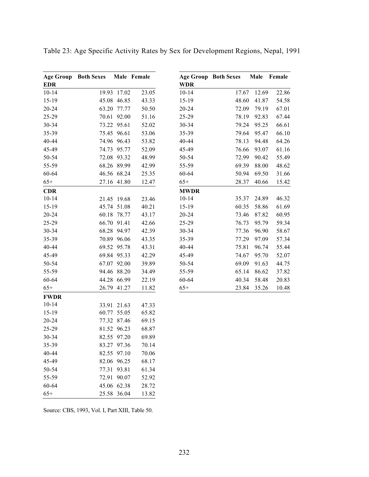| <b>Age Group Both Sexes</b> |             | Male Female |             | <b>Age Group Both Sexes</b> | Male  | Female |
|-----------------------------|-------------|-------------|-------------|-----------------------------|-------|--------|
| <b>EDR</b>                  |             |             | <b>WDR</b>  |                             |       |        |
| $10 - 14$                   | 19.93 17.02 | 23.05       | $10 - 14$   | 17.67                       | 12.69 | 22.86  |
| $15-19$                     | 45.08 46.85 | 43.33       | 15-19       | 48.60                       | 41.87 | 54.58  |
| 20-24                       | 63.20 77.77 | 50.50       | 20-24       | 72.09                       | 79.19 | 67.01  |
| 25-29                       | 70.61 92.00 | 51.16       | 25-29       | 78.19                       | 92.83 | 67.44  |
| 30-34                       | 73.22 95.61 | 52.02       | 30-34       | 79.24                       | 95.25 | 66.61  |
| 35-39                       | 75.45 96.61 | 53.06       | 35-39       | 79.64                       | 95.47 | 66.10  |
| 40-44                       | 74.96 96.43 | 53.82       | 40-44       | 78.13                       | 94.48 | 64.26  |
| 45-49                       | 74.73 95.77 | 52.09       | 45-49       | 76.66                       | 93.07 | 61.16  |
| 50-54                       | 72.08 93.32 | 48.99       | 50-54       | 72.99                       | 90.42 | 55.49  |
| 55-59                       | 68.26 89.99 | 42.99       | 55-59       | 69.39                       | 88.00 | 48.62  |
| 60-64                       | 46.56 68.24 | 25.35       | 60-64       | 50.94                       | 69.50 | 31.66  |
| $65+$                       | 27.16 41.80 | 12.47       | $65+$       | 28.37                       | 40.66 | 15.42  |
| <b>CDR</b>                  |             |             | <b>MWDR</b> |                             |       |        |
| $10 - 14$                   | 21.45 19.68 | 23.46       | $10 - 14$   | 35.37                       | 24.89 | 46.32  |
| 15-19                       | 45.74 51.08 | 40.21       | $15-19$     | 60.35                       | 58.86 | 61.69  |
| $20 - 24$                   | 60.18 78.77 | 43.17       | $20 - 24$   | 73.46                       | 87.82 | 60.95  |
| 25-29                       | 66.70 91.41 | 42.66       | 25-29       | 76.73                       | 95.79 | 59.34  |
| 30-34                       | 68.28 94.97 | 42.39       | 30-34       | 77.36                       | 96.90 | 58.67  |
| 35-39                       | 70.89 96.06 | 43.35       | 35-39       | 77.29                       | 97.09 | 57.34  |
| 40-44                       | 69.52 95.78 | 43.31       | 40-44       | 75.81                       | 96.74 | 55.44  |
| 45-49                       | 69.84 95.33 | 42.29       | 45-49       | 74.67                       | 95.70 | 52.07  |
| 50-54                       | 67.07 92.00 | 39.89       | 50-54       | 69.09                       | 91.63 | 44.75  |
| 55-59                       | 94.46 88.20 | 34.49       | 55-59       | 65.14                       | 86.62 | 37.82  |
| 60-64                       | 44.28 66.99 | 22.19       | 60-64       | 40.34                       | 58.48 | 20.83  |
| $65+$                       | 26.79 41.27 | 11.82       | $65+$       | 23.84                       | 35.26 | 10.48  |
| <b>FWDR</b>                 |             |             |             |                             |       |        |
| $10 - 14$                   | 33.91 21.63 | 47.33       |             |                             |       |        |
| 15-19                       | 60.77 55.05 | 65.82       |             |                             |       |        |
| $20 - 24$                   | 77.32 87.46 | 69.15       |             |                             |       |        |
| 25-29                       | 81.52 96.23 | 68.87       |             |                             |       |        |
| 30-34                       | 82.55 97.20 | 69.89       |             |                             |       |        |
| 35-39                       | 83.27 97.36 | 70.14       |             |                             |       |        |
| 40-44                       | 82.55 97.10 | 70.06       |             |                             |       |        |
| 45-49                       | 82.06 96.25 | 68.17       |             |                             |       |        |
| 50-54                       | 77.31 93.81 | 61.34       |             |                             |       |        |
| 55-59                       | 72.91 90.07 | 52.92       |             |                             |       |        |
| 60-64                       | 45.06 62.38 | 28.72       |             |                             |       |        |
| $65+$                       | 25.58 36.04 | 13.82       |             |                             |       |        |

Table 23: Age Specific Activity Rates by Sex for Development Regions, Nepal, 1991

Source: CBS, 1993, Vol. I, Part XIII, Table 50.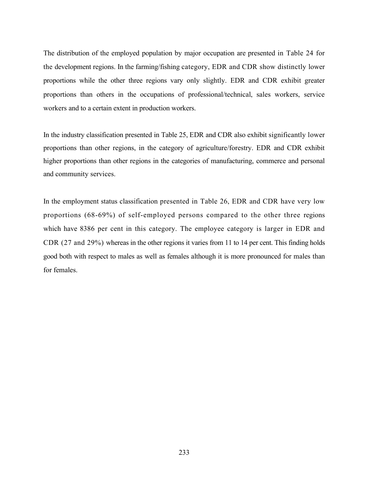The distribution of the employed population by major occupation are presented in Table 24 for the development regions. In the farming/fishing category, EDR and CDR show distinctly lower proportions while the other three regions vary only slightly. EDR and CDR exhibit greater proportions than others in the occupations of professional/technical, sales workers, service workers and to a certain extent in production workers.

In the industry classification presented in Table 25, EDR and CDR also exhibit significantly lower proportions than other regions, in the category of agriculture/forestry. EDR and CDR exhibit higher proportions than other regions in the categories of manufacturing, commerce and personal and community services.

In the employment status classification presented in Table 26, EDR and CDR have very low proportions (68-69%) of self-employed persons compared to the other three regions which have 8386 per cent in this category. The employee category is larger in EDR and CDR (27 and 29%) whereas in the other regions it varies from 11 to 14 per cent. This finding holds good both with respect to males as well as females although it is more pronounced for males than for females.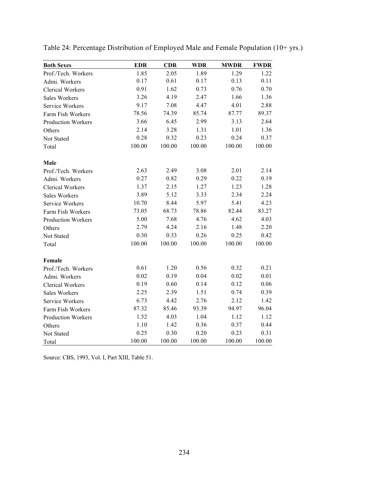| <b>Both Sexes</b>         | <b>EDR</b> | <b>CDR</b> | <b>WDR</b> | <b>MWDR</b> | <b>FWDR</b> |
|---------------------------|------------|------------|------------|-------------|-------------|
| Prof./Tech. Workers       | 1.85       | 2.05       | 1.89       | 1.29        | 1.22        |
| Admi. Workers             | 0.17       | 0.61       | 0.17       | 0.13        | 0.11        |
| Clerical Workers          | 0.91       | 1.62       | 0.73       | 0.76        | 0.70        |
| Sales Workers             | 3.26       | 4.19       | 2.47       | 1.66        | 1.36        |
| Service Workers           | 9.17       | 7.08       | 4.47       | 4.01        | 2.88        |
| Farm Fish Workers         | 78.56      | 74.39      | 85.74      | 87.77       | 89.37       |
| <b>Production Workers</b> | 3.66       | 6.45       | 2.99       | 3.13        | 2.64        |
| Others                    | 2.14       | 3.28       | 1.31       | 1.01        | 1.36        |
| Not Stated                | 0.28       | 0.32       | 0.23       | 0.24        | 0.37        |
| Total                     | 100.00     | 100.00     | 100.00     | 100.00      | 100.00      |
| Male                      |            |            |            |             |             |
| Prof./Tech. Workers       | 2.63       | 2.49       | 3.08       | 2.01        | 2.14        |
| Admi. Workers             | 0.27       | 0.82       | 0.29       | 0.22        | 0.19        |
| Clerical Workers          | 1.37       | 2.15       | 1.27       | 1.23        | 1.28        |
| Sales Workers             | 3.89       | 5.12       | 3.33       | 2.34        | 2.24        |
| Service Workers           | 10.70      | 8.44       | 5.97       | 5.41        | 4.23        |
| Farm Fish Workers         | 73.05      | 68.73      | 78.86      | 82.44       | 83.27       |
| <b>Production Workers</b> | 5.00       | 7.68       | 4.76       | 4.62        | 4.03        |
| Others                    | 2.79       | 4.24       | 2.16       | 1.48        | 2.20        |
| Not Stated                | 0.30       | 0.33       | 0.26       | 0.25        | 0.42        |
| Total                     | 100.00     | 100.00     | 100.00     | 100.00      | 100.00      |
| Female                    |            |            |            |             |             |
| Prof./Tech. Workers       | 0.61       | 1.20       | 0.56       | 0.32        | 0.21        |
| Admi. Workers             | 0.02       | 0.19       | 0.04       | 0.02        | 0.01        |
| <b>Clerical Workers</b>   | 0.19       | 0.60       | 0.14       | 0.12        | 0.06        |
| <b>Sales Workers</b>      | 2.25       | 2.39       | 1.51       | 0.74        | 0.39        |
| Service Workers           | 6.73       | 4.42       | 2.76       | 2.12        | 1.42        |
| Farm Fish Workers         | 87.32      | 85.46      | 93.39      | 94.97       | 96.04       |
| <b>Production Workers</b> | 1.52       | 4.03       | 1.04       | 1.12        | 1.12        |
| Others                    | 1.10       | 1.42       | 0.36       | 0.37        | 0.44        |
| Not Stated                | 0.25       | 0.30       | 0.20       | 0.23        | 0.31        |
| Total                     | 100.00     | 100.00     | 100.00     | 100.00      | 100.00      |

Table 24: Percentage Distribution of Employed Male and Female Population (10+ yrs.)

Source: CBS, 1993, Vol. I, Part XIII, Table 51.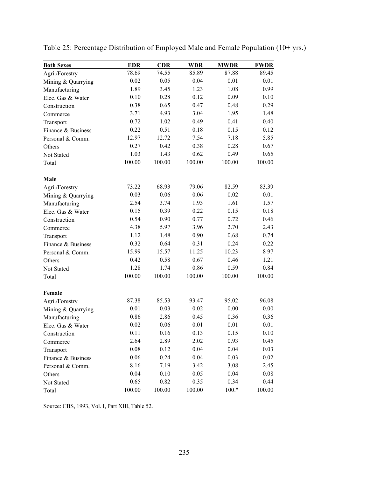| <b>Both Sexes</b>  | <b>EDR</b> | <b>CDR</b> | <b>WDR</b> | <b>MWDR</b> | <b>FWDR</b> |
|--------------------|------------|------------|------------|-------------|-------------|
| Agri./Forestry     | 78.69      | 74.55      | 85.89      | 87.88       | 89.45       |
| Mining & Quarrying | 0.02       | 0.05       | 0.04       | 0.01        | 0.01        |
| Manufacturing      | 1.89       | 3.45       | 1.23       | 1.08        | 0.99        |
| Elec. Gas & Water  | 0.10       | 0.28       | 0.12       | 0.09        | 0.10        |
| Construction       | 0.38       | 0.65       | 0.47       | 0.48        | 0.29        |
| Commerce           | 3.71       | 4.93       | 3.04       | 1.95        | 1.48        |
| Transport          | 0.72       | 1.02       | 0.49       | 0.41        | 0.40        |
| Finance & Business | 0.22       | 0.51       | 0.18       | 0.15        | 0.12        |
| Personal & Comm.   | 12.97      | 12.72      | 7.54       | 7.18        | 5.85        |
| Others             | 0.27       | 0.42       | 0.38       | 0.28        | 0.67        |
| Not Stated         | 1.03       | 1.43       | 0.62       | 0.49        | 0.65        |
| Total              | 100.00     | 100.00     | 100.00     | 100.00      | 100.00      |
| Male               |            |            |            |             |             |
| Agri./Forestry     | 73.22      | 68.93      | 79.06      | 82.59       | 83.39       |
| Mining & Quarrying | 0.03       | 0.06       | 0.06       | 0.02        | 0.01        |
| Manufacturing      | 2.54       | 3.74       | 1.93       | 1.61        | 1.57        |
| Elec. Gas & Water  | 0.15       | 0.39       | 0.22       | 0.15        | 0.18        |
| Construction       | 0.54       | 0.90       | 0.77       | 0.72        | 0.46        |
| Commerce           | 4.38       | 5.97       | 3.96       | 2.70        | 2.43        |
| Transport          | 1.12       | 1.48       | 0.90       | 0.68        | 0.74        |
| Finance & Business | 0.32       | 0.64       | 0.31       | 0.24        | 0.22        |
| Personal & Comm.   | 15.99      | 15.57      | 11.25      | 10.23       | 897         |
| Others             | 0.42       | 0.58       | 0.67       | 0.46        | 1.21        |
| Not Stated         | 1.28       | 1.74       | 0.86       | 0.59        | 0.84        |
| Total              | 100.00     | 100.00     | 100.00     | 100.00      | 100.00      |
| Female             |            |            |            |             |             |
| Agri./Forestry     | 87.38      | 85.53      | 93.47      | 95.02       | 96.08       |
| Mining & Quarrying | 0.01       | 0.03       | 0.02       | 0.00        | 0.00        |
| Manufacturing      | 0.86       | 2.86       | 0.45       | 0.36        | 0.36        |
| Elec. Gas & Water  | 0.02       | 0.06       | 0.01       | 0.01        | 0.01        |
| Construction       | 0.11       | 0.16       | 0.13       | 0.15        | 0.10        |
| Commerce           | 2.64       | 2.89       | 2.02       | 0.93        | 0.45        |
| Transport          | 0.08       | 0.12       | 0.04       | 0.04        | 0.03        |
| Finance & Business | 0.06       | 0.24       | 0.04       | 0.03        | 0.02        |
| Personal & Comm.   | 8.16       | 7.19       | 3.42       | 3.08        | 2.45        |
| Others             | 0.04       | 0.10       | 0.05       | 0.04        | 0.08        |
| Not Stated         | 0.65       | 0.82       | 0.35       | 0.34        | 0.44        |
| Total              | 100.00     | 100.00     | 100.00     | 100."       | 100.00      |

Table 25: Percentage Distribution of Employed Male and Female Population (10+ yrs.)

Source: CBS, 1993, Vol. I, Part XIII, Table 52.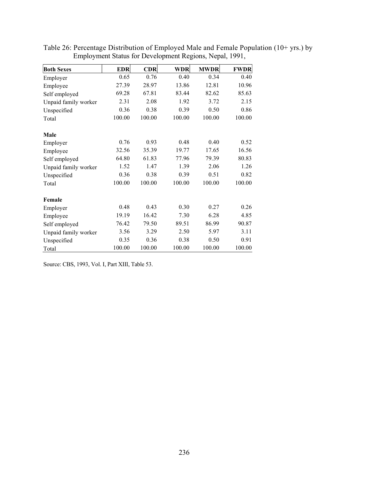| <b>Both Sexes</b>    | <b>EDR</b> | CDR    | WDR    | <b>MWDR</b> | <b>FWDR</b> |
|----------------------|------------|--------|--------|-------------|-------------|
| Employer             | 0.65       | 0.76   | 0.40   | 0.34        | 0.40        |
| Employee             | 27.39      | 28.97  | 13.86  | 12.81       | 10.96       |
| Self employed        | 69.28      | 67.81  | 83.44  | 82.62       | 85.63       |
| Unpaid family worker | 2.31       | 2.08   | 1.92   | 3.72        | 2.15        |
| Unspecified          | 0.36       | 0.38   | 0.39   | 0.50        | 0.86        |
| Total                | 100.00     | 100.00 | 100.00 | 100.00      | 100.00      |
| Male                 |            |        |        |             |             |
| Employer             | 0.76       | 0.93   | 0.48   | 0.40        | 0.52        |
| Employee             | 32.56      | 35.39  | 19.77  | 17.65       | 16.56       |
| Self employed        | 64.80      | 61.83  | 77.96  | 79.39       | 80.83       |
| Unpaid family worker | 1.52       | 1.47   | 1.39   | 2.06        | 1.26        |
| Unspecified          | 0.36       | 0.38   | 0.39   | 0.51        | 0.82        |
| Total                | 100.00     | 100.00 | 100.00 | 100.00      | 100.00      |
| Female               |            |        |        |             |             |
| Employer             | 0.48       | 0.43   | 0.30   | 0.27        | 0.26        |
| Employee             | 19.19      | 16.42  | 7.30   | 6.28        | 4.85        |
| Self employed        | 76.42      | 79.50  | 89.51  | 86.99       | 90.87       |
| Unpaid family worker | 3.56       | 3.29   | 2.50   | 5.97        | 3.11        |
| Unspecified          | 0.35       | 0.36   | 0.38   | 0.50        | 0.91        |
| Total                | 100.00     | 100.00 | 100.00 | 100.00      | 100.00      |

Table 26: Percentage Distribution of Employed Male and Female Population (10+ yrs.) by Employment Status for Development Regions, Nepal, 1991,

Source: CBS, 1993, Vol. I, Part XIII, Table 53.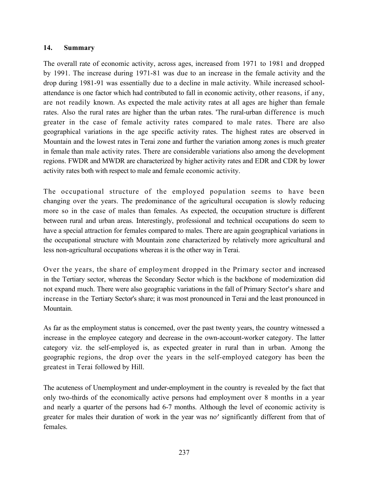# 14. Summary

The overall rate of economic activity, across ages, increased from 1971 to 1981 and dropped by 1991. The increase during 1971-81 was due to an increase in the female activity and the drop during 1981-91 was essentially due to a decline in male activity. While increased schoolattendance is one factor which had contributed to fall in economic activity, other reasons, if any, are not readily known. As expected the male activity rates at all ages are higher than female rates. Also the rural rates are higher than the urban rates. 'The rural-urban difference is much greater in the case of female activity rates compared to male rates. There are also geographical variations in the age specific activity rates. The highest rates are observed in Mountain and the lowest rates in Terai zone and further the variation among zones is much greater in female than male activity rates. There are considerable variations also among the development regions. FWDR and MWDR are characterized by higher activity rates and EDR and CDR by lower activity rates both with respect to male and female economic activity.

The occupational structure of the employed population seems to have been changing over the years. The predominance of the agricultural occupation is slowly reducing more so in the case of males than females. As expected, the occupation structure is different between rural and urban areas. Interestingly, professional and technical occupations do seem to have a special attraction for females compared to males. There are again geographical variations in the occupational structure with Mountain zone characterized by relatively more agricultural and less non-agricultural occupations whereas it is the other way in Terai.

Over the years, the share of employment dropped in the Primary sector and increased in the Tertiary sector, whereas the Secondary Sector which is the backbone of modernization did not expand much. There were also geographic variations in the fall of Primary Sector's share and increase in the Tertiary Sector's share; it was most pronounced in Terai and the least pronounced in Mountain.

As far as the employment status is concerned, over the past twenty years, the country witnessed a increase in the employee category and decrease in the own-account-worker category. The latter category viz. the self-employed is, as expected greater in rural than in urban. Among the geographic regions, the drop over the years in the self-employed category has been the greatest in Terai followed by Hill.

The acuteness of Unemployment and under-employment in the country is revealed by the fact that only two-thirds of the economically active persons had employment over 8 months in a year and nearly a quarter of the persons had 6-7 months. Although the level of economic activity is greater for males their duration of work in the year was no' significantly different from that of females.